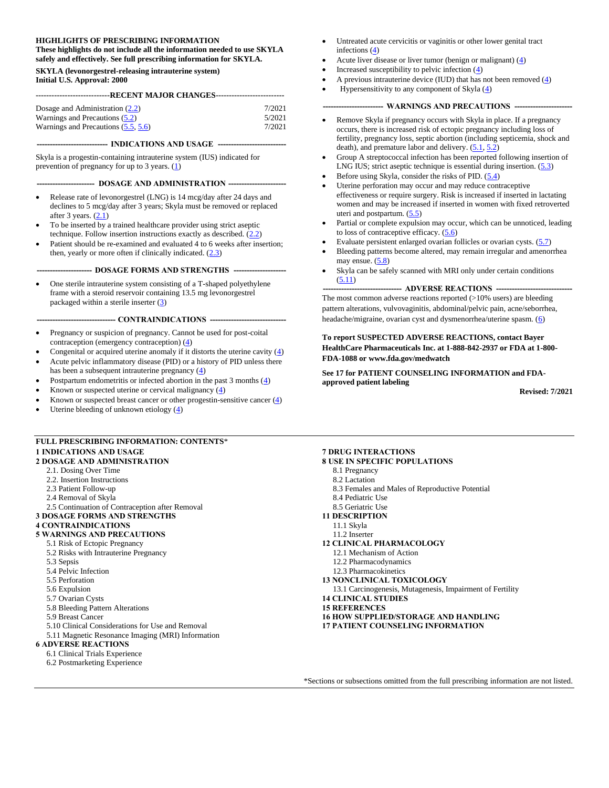#### **HIGHLIGHTS OF PRESCRIBING INFORMATION These highlights do not include all the information needed to use SKYLA**

**safely and effectively. See full prescribing information for SKYLA. SKYLA (levonorgestrel-releasing intrauterine system)**

**Initial U.S. Approval: 2000**

#### **----------------------------RECENT MAJOR CHANGES--------------------------**

| Dosage and Administration $(2.2)$     | 7/2021 |
|---------------------------------------|--------|
| Warnings and Precautions (5.2)        | 5/2021 |
| Warnings and Precautions $(5.5, 5.6)$ | 7/2021 |

**--------------------------- INDICATIONS AND USAGE --------------------------**

Skyla is a progestin-containing intrauterine system (IUS) indicated for prevention of pregnancy for up to 3 years. [\(1\)](#page-1-0)

#### **---------------------- DOSAGE AND ADMINISTRATION ----------------------**

- Release rate of levonorgestrel (LNG) is 14 mcg/day after 24 days and declines to 5 mcg/day after 3 years; Skyla must be removed or replaced after  $3$  years.  $(2.1)$  $(2.1)$
- To be inserted by a trained healthcare provider using strict aseptic technique. Follow insertion instructions exactly as described. [\(2.2](#page-1-1))
- Patient should be re-examined and evaluated 4 to 6 weeks after insertion; then, yearly or more often if clinically indicated. [\(2.3\)](#page-8-0)

#### **--------------------- DOSAGE FORMS AND STRENGTHS --------------------**

• One sterile intrauterine system consisting of a T-shaped polyethylene frame with a steroid reservoir containing 13.5 mg levonorgestrel packaged within a sterile inserter [\(3\)](#page-9-0)

#### **------------------------------ CONTRAINDICATIONS -----------------------------**

- Pregnancy or suspicion of pregnancy. Cannot be used for post-coital contraception (emergency contraception) [\(4\)](#page-9-1)
- Congenital or acquired uterine anomaly if it distorts the uterine cavity [\(4\)](#page-9-1) • Acute pelvic inflammatory disease (PID) or a history of PID unless there
- has been a subsequent intrauterine pregnancy [\(4\)](#page-9-1) • Postpartum endometritis or infected abortion in the past 3 months [\(4\)](#page-9-1)
- Known or suspected uterine or cervical malignancy  $(4)$
- Known or suspected breast cancer or other progestin-sensitive cancer  $(4)$
- Uterine bleeding of unknown etiology  $(4)$

#### **FULL PRESCRIBING INFORMATION: CONTENTS**\* **1 INDICATIONS AND USAGE**

#### **2 DOSAGE AND ADMINISTRATION**

- 2.1. Dosing Over Time
- 2.2. Insertion Instructions
- 2.3 Patient Follow-up
- 2.4 Removal of Skyla
- 2.5 Continuation of Contraception after Removal
- **3 DOSAGE FORMS AND STRENGTHS**

#### **4 CONTRAINDICATIONS**

#### **5 WARNINGS AND PRECAUTIONS**

- 5.1 Risk of Ectopic Pregnancy
- 5.2 Risks with Intrauterine Pregnancy
- 5.3 Sepsis
- 5.4 Pelvic Infection
- 5.5 Perforation
- 5.6 Expulsion
- 5.7 Ovarian Cysts
- 5.8 Bleeding Pattern Alterations
- 5.9 Breast Cancer
- 5.10 Clinical Considerations for Use and Removal
- 5.11 Magnetic Resonance Imaging (MRI) Information

#### **6 ADVERSE REACTIONS**

- 6.1 Clinical Trials Experience
- 6.2 Postmarketing Experience
- Untreated acute cervicitis or vaginitis or other lower genital tract infections [\(4\)](#page-9-1)
- Acute liver disease or liver tumor (benign or malignant)  $(4)$
- Increased susceptibility to pelvic infection  $(4)$
- A previous intrauterine device (IUD) that has not been removed [\(4\)](#page-9-1)
- Hypersensitivity to any component of Skyla [\(4\)](#page-9-1)

#### **----------------------- WARNINGS AND PRECAUTIONS ----------------------**

- Remove Skyla if pregnancy occurs with Skyla in place. If a pregnancy occurs, there is increased risk of ectopic pregnancy including loss of fertility, pregnancy loss, septic abortion (including septicemia, shock and death), and premature labor and delivery.  $(5.1, 5.2)$  $(5.1, 5.2)$
- Group A streptococcal infection has been reported following insertion of LNG IUS; strict aseptic technique is essential during insertion. [\(5.3\)](#page-11-0)
- Before using Skyla, consider the risks of PID.  $(5.4)$
- Uterine perforation may occur and may reduce contraceptive effectiveness or require surgery. Risk is increased if inserted in lactating women and may be increased if inserted in women with fixed retroverted uteri and postpartum. [\(5.5\)](#page-11-2)
- Partial or complete expulsion may occur, which can be unnoticed, leading to loss of contraceptive efficacy. [\(5.6\)](#page-12-0)
- Evaluate persistent enlarged ovarian follicles or ovarian cysts. [\(5.7\)](#page-12-1)
- Bleeding patterns become altered, may remain irregular and amenorrhea may ensue. [\(5.8\)](#page-12-2)
- Skyla can be safely scanned with MRI only under certain conditions [\(5.11\)](#page-14-0)

-- ADVERSE REACTIONS --The most common adverse reactions reported  $(>10\%$  users) are bleeding pattern alterations, vulvovaginitis, abdominal/pelvic pain, acne/seborrhea, headache/migraine, ovarian cyst and dysmenorrhea/uterine spasm. [\(6\)](#page-14-1)

#### **To report SUSPECTED ADVERSE REACTIONS, contact Bayer HealthCare Pharmaceuticals Inc. at 1-888-842-2937 or FDA at 1-800- FDA-1088 or www.fda.gov/medwatch**

**See 17 for PATIENT COUNSELING INFORMATION and FDAapproved patient labeling**

**Revised: 7/2021**

#### **7 DRUG INTERACTIONS 8 USE IN SPECIFIC POPULATIONS**

- 8.1 Pregnancy
- 8.2 Lactation
- 8.3 Females and Males of Reproductive Potential
- 8.4 Pediatric Use
- 8.5 Geriatric Use
- **11 DESCRIPTION**
	- 11.1 Skyla
	- 11.2 Inserter
- **12 CLINICAL PHARMACOLOGY**
	- 12.1 Mechanism of Action
	- 12.2 Pharmacodynamics
	- 12.3 Pharmacokinetics
- **13 NONCLINICAL TOXICOLOGY**
- 13.1 Carcinogenesis, Mutagenesis, Impairment of Fertility
- **14 CLINICAL STUDIES**
- **15 REFERENCES**
- **16 HOW SUPPLIED/STORAGE AND HANDLING**
- **17 PATIENT COUNSELING INFORMATION**

\*Sections or subsections omitted from the full prescribing information are not listed.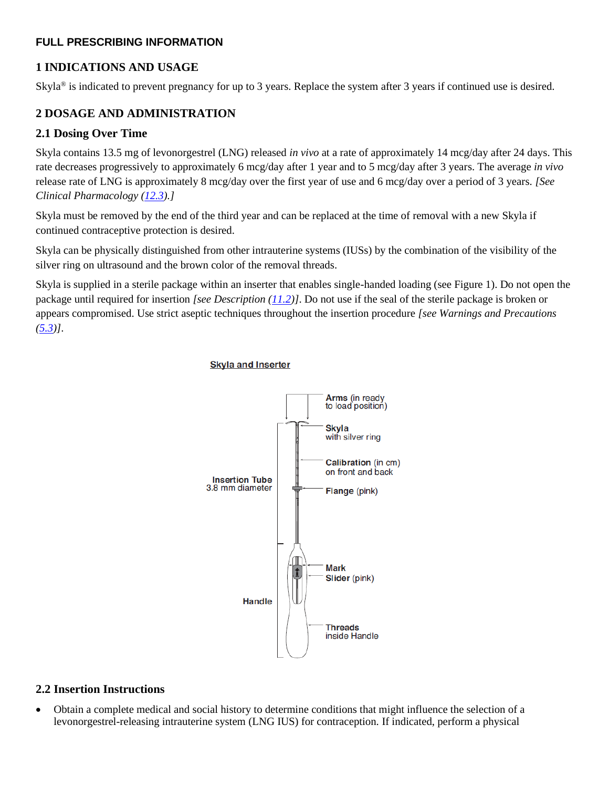#### **FULL PRESCRIBING INFORMATION**

## <span id="page-1-0"></span>**1 INDICATIONS AND USAGE**

Skyla® is indicated to prevent pregnancy for up to 3 years. Replace the system after 3 years if continued use is desired.

## <span id="page-1-1"></span>**2 DOSAGE AND ADMINISTRATION**

### **2.1 Dosing Over Time**

Skyla contains 13.5 mg of levonorgestrel (LNG) released *in vivo* at a rate of approximately 14 mcg/day after 24 days. This rate decreases progressively to approximately 6 mcg/day after 1 year and to 5 mcg/day after 3 years. The average *in vivo* release rate of LNG is approximately 8 mcg/day over the first year of use and 6 mcg/day over a period of 3 years. *[See Clinical Pharmacology [\(12.3\)](#page-19-0).]*

Skyla must be removed by the end of the third year and can be replaced at the time of removal with a new Skyla if continued contraceptive protection is desired.

Skyla can be physically distinguished from other intrauterine systems (IUSs) by the combination of the visibility of the silver ring on ultrasound and the brown color of the removal threads.

Skyla is supplied in a sterile package within an inserter that enables single-handed loading (see Figure 1). Do not open the package until required for insertion *[see Description [\(11.2\)](#page-18-0)]*. Do not use if the seal of the sterile package is broken or appears compromised. Use strict aseptic techniques throughout the insertion procedure *[see Warnings and Precautions*   $(5.3)$ .



#### **Skyla and Inserter**

## **2.2 Insertion Instructions**

• Obtain a complete medical and social history to determine conditions that might influence the selection of a levonorgestrel-releasing intrauterine system (LNG IUS) for contraception*.* If indicated, perform a physical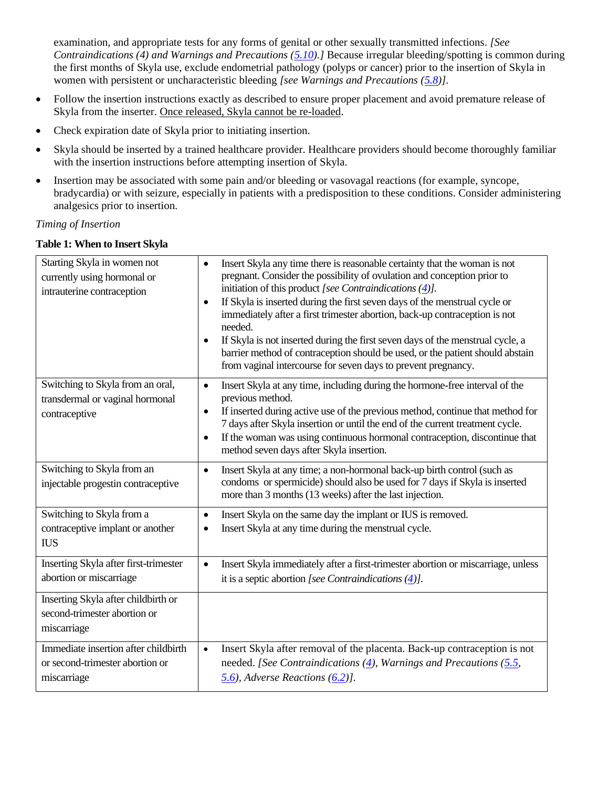examination, and appropriate tests for any forms of genital or other sexually transmitted infections. *[See Contraindications (4) and Warnings and Precautions [\(5.10\)](#page-13-0).]* Because irregular bleeding/spotting is common during the first months of Skyla use, exclude endometrial pathology (polyps or cancer) prior to the insertion of Skyla in women with persistent or uncharacteristic bleeding *[see Warnings and Precautions [\(5.8\)](#page-12-2)].*

- Follow the insertion instructions exactly as described to ensure proper placement and avoid premature release of Skyla from the inserter. Once released, Skyla cannot be re-loaded.
- Check expiration date of Skyla prior to initiating insertion.
- Skyla should be inserted by a trained healthcare provider. Healthcare providers should become thoroughly familiar with the insertion instructions before attempting insertion of Skyla.
- Insertion may be associated with some pain and/or bleeding or vasovagal reactions (for example, syncope, bradycardia) or with seizure, especially in patients with a predisposition to these conditions. Consider administering analgesics prior to insertion.

#### *Timing of Insertion*

#### **Table 1: When to Insert Skyla**

| Starting Skyla in women not<br>currently using hormonal or<br>intrauterine contraception | Insert Skyla any time there is reasonable certainty that the woman is not<br>$\bullet$<br>pregnant. Consider the possibility of ovulation and conception prior to<br>initiation of this product [see Contraindications $(\underline{4})$ ].<br>If Skyla is inserted during the first seven days of the menstrual cycle or<br>$\bullet$<br>immediately after a first trimester abortion, back-up contraception is not<br>needed.<br>If Skyla is not inserted during the first seven days of the menstrual cycle, a<br>barrier method of contraception should be used, or the patient should abstain<br>from vaginal intercourse for seven days to prevent pregnancy. |
|------------------------------------------------------------------------------------------|---------------------------------------------------------------------------------------------------------------------------------------------------------------------------------------------------------------------------------------------------------------------------------------------------------------------------------------------------------------------------------------------------------------------------------------------------------------------------------------------------------------------------------------------------------------------------------------------------------------------------------------------------------------------|
| Switching to Skyla from an oral,<br>transdermal or vaginal hormonal<br>contraceptive     | Insert Skyla at any time, including during the hormone-free interval of the<br>$\bullet$<br>previous method.<br>If inserted during active use of the previous method, continue that method for<br>٠<br>7 days after Skyla insertion or until the end of the current treatment cycle.<br>If the woman was using continuous hormonal contraception, discontinue that<br>$\bullet$<br>method seven days after Skyla insertion.                                                                                                                                                                                                                                         |
| Switching to Skyla from an<br>injectable progestin contraceptive                         | Insert Skyla at any time; a non-hormonal back-up birth control (such as<br>$\bullet$<br>condoms or spermicide) should also be used for 7 days if Skyla is inserted<br>more than 3 months (13 weeks) after the last injection.                                                                                                                                                                                                                                                                                                                                                                                                                                       |
| Switching to Skyla from a<br>contraceptive implant or another<br><b>IUS</b>              | Insert Skyla on the same day the implant or IUS is removed.<br>$\bullet$<br>Insert Skyla at any time during the menstrual cycle.<br>$\bullet$                                                                                                                                                                                                                                                                                                                                                                                                                                                                                                                       |
| Inserting Skyla after first-trimester<br>abortion or miscarriage                         | Insert Skyla immediately after a first-trimester abortion or miscarriage, unless<br>$\bullet$<br>it is a septic abortion [see Contraindications $(4)$ ].                                                                                                                                                                                                                                                                                                                                                                                                                                                                                                            |
| Inserting Skyla after childbirth or<br>second-trimester abortion or<br>miscarriage       |                                                                                                                                                                                                                                                                                                                                                                                                                                                                                                                                                                                                                                                                     |
| Immediate insertion after childbirth<br>or second-trimester abortion or<br>miscarriage   | Insert Skyla after removal of the placenta. Back-up contraception is not<br>$\bullet$<br>needed. [See Contraindications $(4)$ , Warnings and Precautions (5.5,<br>$(5.6)$ , Adverse Reactions $(6.2)$ ].                                                                                                                                                                                                                                                                                                                                                                                                                                                            |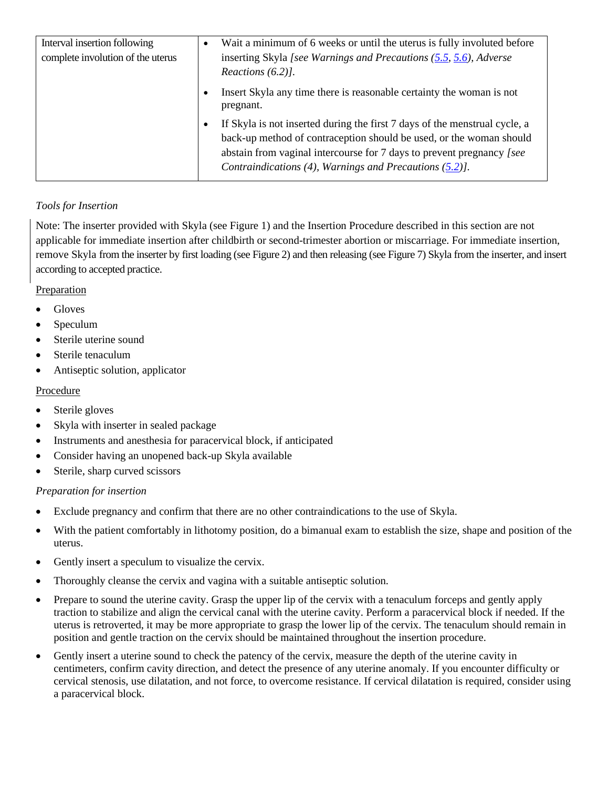| Interval insertion following      | Wait a minimum of 6 weeks or until the uterus is fully involuted before<br>$\bullet$ |
|-----------------------------------|--------------------------------------------------------------------------------------|
| complete involution of the uterus | inserting Skyla [see Warnings and Precautions $(5.5, 5.6)$ , Adverse                 |
|                                   | Reactions $(6.2)$ ].                                                                 |
|                                   | Insert Skyla any time there is reasonable certainty the woman is not<br>pregnant.    |
|                                   | If Skyla is not inserted during the first 7 days of the menstrual cycle, a           |
|                                   | back-up method of contraception should be used, or the woman should                  |
|                                   | abstain from vaginal intercourse for 7 days to prevent pregnancy [see                |
|                                   | Contraindications (4), Warnings and Precautions (5.2).                               |

## *Tools for Insertion*

Note: The inserter provided with Skyla (see Figure 1) and the Insertion Procedure described in this section are not applicable for immediate insertion after childbirth or second-trimester abortion or miscarriage. For immediate insertion, remove Skyla from the inserter by first loading (see Figure 2) and then releasing (see Figure 7) Skyla from the inserter, and insert according to accepted practice.

## **Preparation**

- Gloves
- Speculum
- Sterile uterine sound
- Sterile tenaculum
- Antiseptic solution, applicator

## Procedure

- Sterile gloves
- Skyla with inserter in sealed package
- Instruments and anesthesia for paracervical block, if anticipated
- Consider having an unopened back-up Skyla available
- Sterile, sharp curved scissors

## *Preparation for insertion*

- Exclude pregnancy and confirm that there are no other contraindications to the use of Skyla.
- With the patient comfortably in lithotomy position, do a bimanual exam to establish the size, shape and position of the uterus.
- Gently insert a speculum to visualize the cervix.
- Thoroughly cleanse the cervix and vagina with a suitable antiseptic solution.
- Prepare to sound the uterine cavity. Grasp the upper lip of the cervix with a tenaculum forceps and gently apply traction to stabilize and align the cervical canal with the uterine cavity. Perform a paracervical block if needed. If the uterus is retroverted, it may be more appropriate to grasp the lower lip of the cervix. The tenaculum should remain in position and gentle traction on the cervix should be maintained throughout the insertion procedure.
- Gently insert a uterine sound to check the patency of the cervix, measure the depth of the uterine cavity in centimeters, confirm cavity direction, and detect the presence of any uterine anomaly. If you encounter difficulty or cervical stenosis, use dilatation, and not force, to overcome resistance. If cervical dilatation is required, consider using a paracervical block.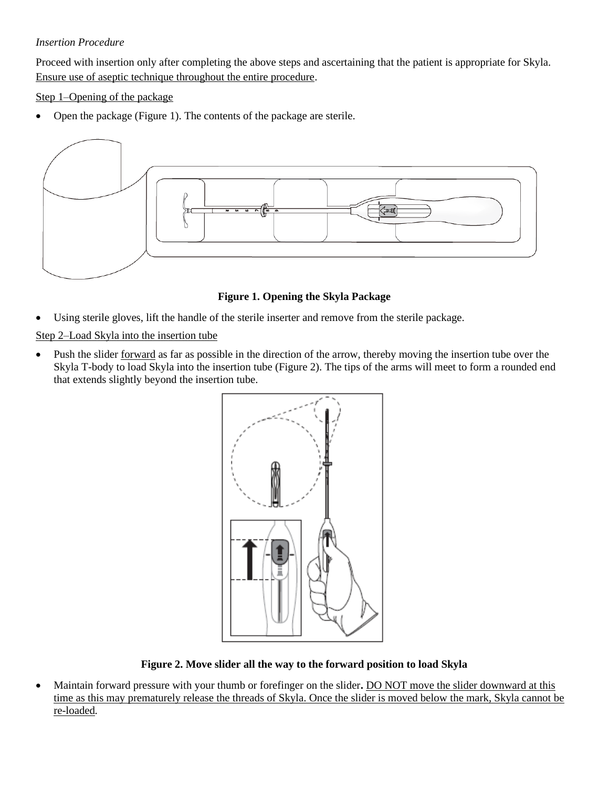#### *Insertion Procedure*

Proceed with insertion only after completing the above steps and ascertaining that the patient is appropriate for Skyla. Ensure use of aseptic technique throughout the entire procedure.

Step 1–Opening of the package

• Open the package (Figure 1). The contents of the package are sterile.



**Figure 1. Opening the Skyla Package**

Using sterile gloves, lift the handle of the sterile inserter and remove from the sterile package.

Step 2–Load Skyla into the insertion tube

• Push the slider <u>forward</u> as far as possible in the direction of the arrow, thereby moving the insertion tube over the Skyla T-body to load Skyla into the insertion tube (Figure 2). The tips of the arms will meet to form a rounded end that extends slightly beyond the insertion tube.



**Figure 2. Move slider all the way to the forward position to load Skyla**

• Maintain forward pressure with your thumb or forefinger on the slider**.** DO NOT move the slider downward at this time as this may prematurely release the threads of Skyla. Once the slider is moved below the mark, Skyla cannot be re-loaded*.*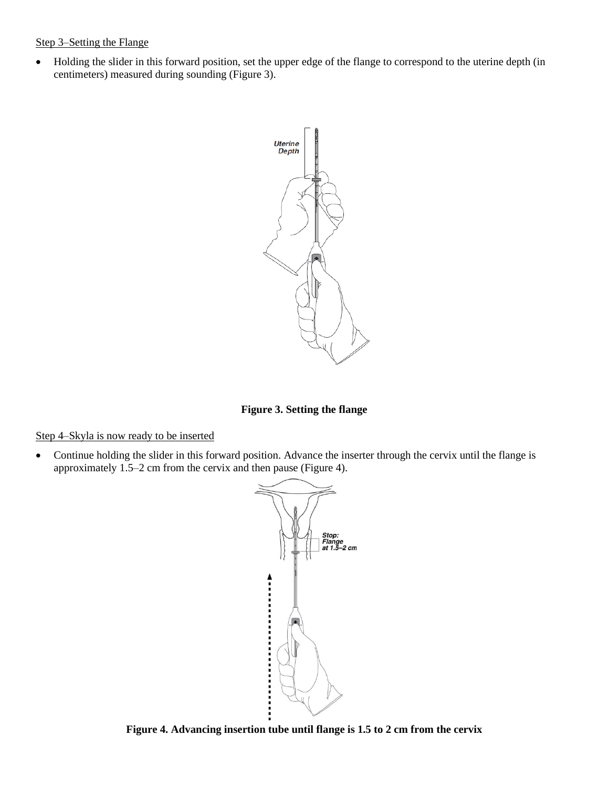#### Step 3–Setting the Flange

• Holding the slider in this forward position, set the upper edge of the flange to correspond to the uterine depth (in centimeters) measured during sounding (Figure 3).



**Figure 3. Setting the flange**

Step 4–Skyla is now ready to be inserted

• Continue holding the slider in this forward position. Advance the inserter through the cervix until the flange is approximately 1.5–2 cm from the cervix and then pause (Figure 4).



**Figure 4. Advancing insertion tube until flange is 1.5 to 2 cm from the cervix**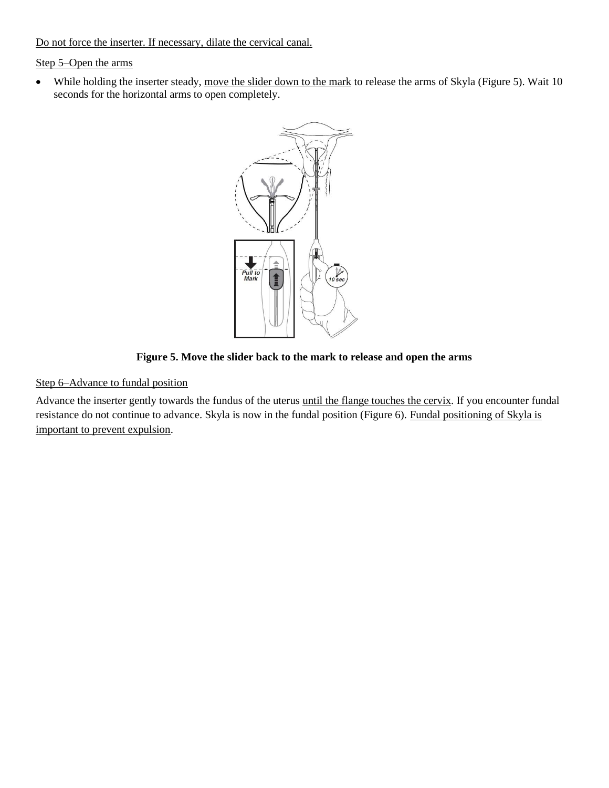Do not force the inserter. If necessary, dilate the cervical canal.

#### Step 5–Open the arms

• While holding the inserter steady, move the slider down to the mark to release the arms of Skyla (Figure 5). Wait 10 seconds for the horizontal arms to open completely.



**Figure 5. Move the slider back to the mark to release and open the arms**

#### Step 6–Advance to fundal position

Advance the inserter gently towards the fundus of the uterus until the flange touches the cervix. If you encounter fundal resistance do not continue to advance. Skyla is now in the fundal position (Figure 6). Fundal positioning of Skyla is important to prevent expulsion.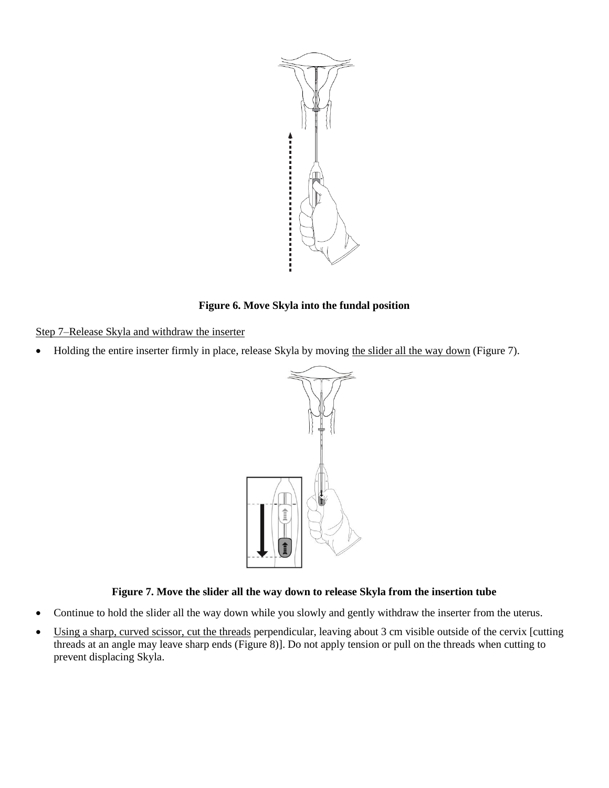

#### **Figure 6. Move Skyla into the fundal position**

Step 7–Release Skyla and withdraw the inserter

• Holding the entire inserter firmly in place, release Skyla by moving the slider all the way down (Figure 7).



## **Figure 7. Move the slider all the way down to release Skyla from the insertion tube**

- Continue to hold the slider all the way down while you slowly and gently withdraw the inserter from the uterus.
- Using a sharp, curved scissor, cut the threads perpendicular, leaving about 3 cm visible outside of the cervix [cutting threads at an angle may leave sharp ends (Figure 8)]. Do not apply tension or pull on the threads when cutting to prevent displacing Skyla.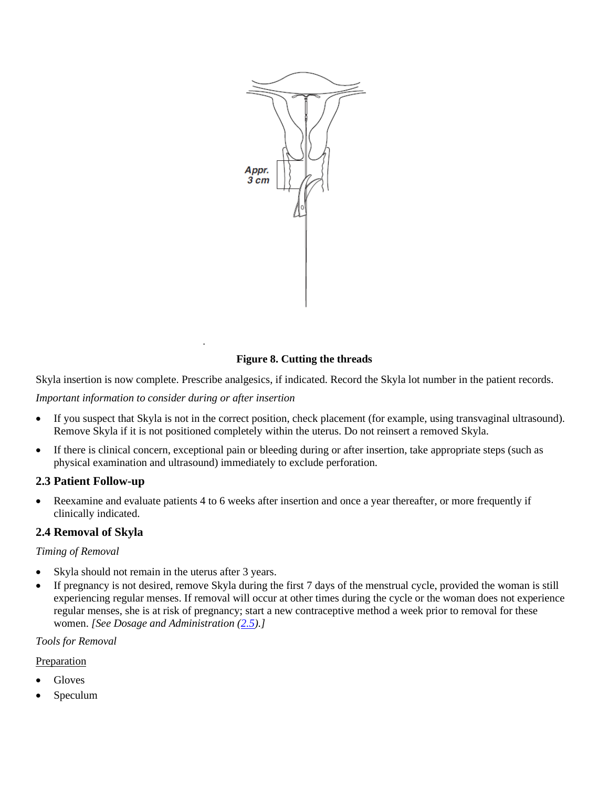

#### **Figure 8. Cutting the threads**

Skyla insertion is now complete. Prescribe analgesics, if indicated. Record the Skyla lot number in the patient records.

*Important information to consider during or after insertion*

.

- If you suspect that Skyla is not in the correct position, check placement (for example, using transvaginal ultrasound). Remove Skyla if it is not positioned completely within the uterus. Do not reinsert a removed Skyla.
- If there is clinical concern, exceptional pain or bleeding during or after insertion, take appropriate steps (such as physical examination and ultrasound) immediately to exclude perforation.

#### <span id="page-8-0"></span>**2.3 Patient Follow-up**

• Reexamine and evaluate patients 4 to 6 weeks after insertion and once a year thereafter, or more frequently if clinically indicated.

#### **2.4 Removal of Skyla**

#### *Timing of Removal*

- Skyla should not remain in the uterus after 3 years.
- If pregnancy is not desired, remove Skyla during the first 7 days of the menstrual cycle, provided the woman is still experiencing regular menses. If removal will occur at other times during the cycle or the woman does not experience regular menses, she is at risk of pregnancy; start a new contraceptive method a week prior to removal for these women. *[See Dosage and Administration [\(2.5\)](#page-9-2).]*

#### *Tools for Removal*

#### Preparation

- Gloves
- Speculum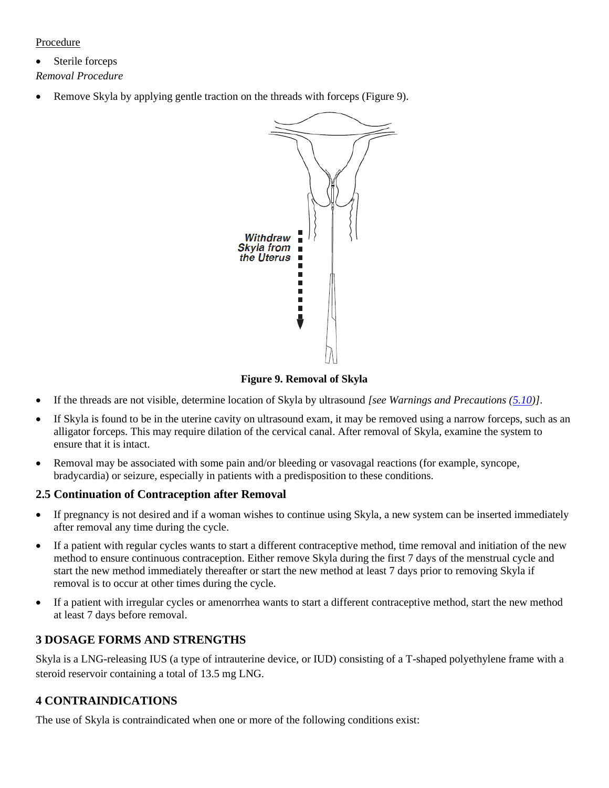#### **Procedure**

• Sterile forceps *Removal Procedure*

• Remove Skyla by applying gentle traction on the threads with forceps (Figure 9).



**Figure 9. Removal of Skyla**

- If the threads are not visible, determine location of Skyla by ultrasound *[see Warnings and Precautions [\(5.10\)](#page-13-0)]*.
- If Skyla is found to be in the uterine cavity on ultrasound exam, it may be removed using a narrow forceps, such as an alligator forceps. This may require dilation of the cervical canal. After removal of Skyla, examine the system to ensure that it is intact.
- Removal may be associated with some pain and/or bleeding or vasovagal reactions (for example, syncope, bradycardia) or seizure, especially in patients with a predisposition to these conditions.

#### <span id="page-9-2"></span>**2.5 Continuation of Contraception after Removal**

- If pregnancy is not desired and if a woman wishes to continue using Skyla, a new system can be inserted immediately after removal any time during the cycle.
- If a patient with regular cycles wants to start a different contraceptive method, time removal and initiation of the new method to ensure continuous contraception. Either remove Skyla during the first 7 days of the menstrual cycle and start the new method immediately thereafter or start the new method at least 7 days prior to removing Skyla if removal is to occur at other times during the cycle.
- If a patient with irregular cycles or amenorrhea wants to start a different contraceptive method, start the new method at least 7 days before removal.

## <span id="page-9-0"></span>**3 DOSAGE FORMS AND STRENGTHS**

Skyla is a LNG-releasing IUS (a type of intrauterine device, or IUD) consisting of a T-shaped polyethylene frame with a steroid reservoir containing a total of 13.5 mg LNG.

## <span id="page-9-1"></span>**4 CONTRAINDICATIONS**

The use of Skyla is contraindicated when one or more of the following conditions exist: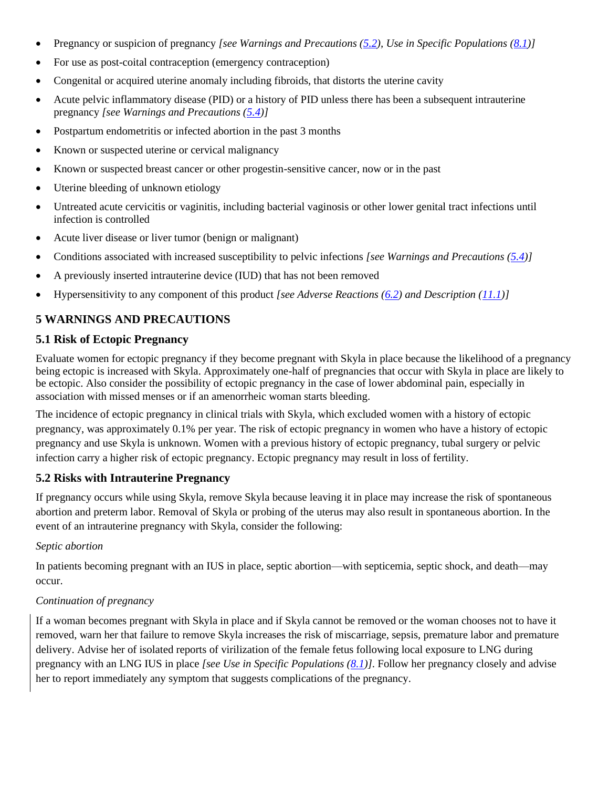- Pregnancy or suspicion of pregnancy *[see Warnings and Precautions [\(5.2\)](#page-10-0), Use in Specific Populations [\(8.1\)](#page-17-0)]*
- For use as post-coital contraception (emergency contraception)
- Congenital or acquired uterine anomaly including fibroids, that distorts the uterine cavity
- Acute pelvic inflammatory disease (PID) or a history of PID unless there has been a subsequent intrauterine pregnancy *[see Warnings and Precautions [\(5.4\)](#page-11-1)]*
- Postpartum endometritis or infected abortion in the past 3 months
- Known or suspected uterine or cervical malignancy
- Known or suspected breast cancer or other progestin-sensitive cancer, now or in the past
- Uterine bleeding of unknown etiology
- Untreated acute cervicitis or vaginitis, including bacterial vaginosis or other lower genital tract infections until infection is controlled
- Acute liver disease or liver tumor (benign or malignant)
- Conditions associated with increased susceptibility to pelvic infections *[see Warnings and Precautions [\(5.4\)](#page-11-1)]*
- A previously inserted intrauterine device (IUD) that has not been removed
- Hypersensitivity to any component of this product *[see Adverse Reactions [\(6.2\)](#page-15-0) and Description (11.1)]*

## **5 WARNINGS AND PRECAUTIONS**

#### <span id="page-10-1"></span>**5.1 Risk of Ectopic Pregnancy**

Evaluate women for ectopic pregnancy if they become pregnant with Skyla in place because the likelihood of a pregnancy being ectopic is increased with Skyla. Approximately one-half of pregnancies that occur with Skyla in place are likely to be ectopic. Also consider the possibility of ectopic pregnancy in the case of lower abdominal pain, especially in association with missed menses or if an amenorrheic woman starts bleeding.

The incidence of ectopic pregnancy in clinical trials with Skyla, which excluded women with a history of ectopic pregnancy, was approximately 0.1% per year. The risk of ectopic pregnancy in women who have a history of ectopic pregnancy and use Skyla is unknown. Women with a previous history of ectopic pregnancy, tubal surgery or pelvic infection carry a higher risk of ectopic pregnancy. Ectopic pregnancy may result in loss of fertility.

## <span id="page-10-0"></span>**5.2 Risks with Intrauterine Pregnancy**

If pregnancy occurs while using Skyla, remove Skyla because leaving it in place may increase the risk of spontaneous abortion and preterm labor. Removal of Skyla or probing of the uterus may also result in spontaneous abortion. In the event of an intrauterine pregnancy with Skyla, consider the following:

#### *Septic abortion*

In patients becoming pregnant with an IUS in place, septic abortion—with septicemia, septic shock, and death—may occur.

#### *Continuation of pregnancy*

If a woman becomes pregnant with Skyla in place and if Skyla cannot be removed or the woman chooses not to have it removed, warn her that failure to remove Skyla increases the risk of miscarriage, sepsis, premature labor and premature delivery. Advise her of isolated reports of virilization of the female fetus following local exposure to LNG during pregnancy with an LNG IUS in place *[see Use in Specific Populations [\(8.1\)](#page-17-0)]*. Follow her pregnancy closely and advise her to report immediately any symptom that suggests complications of the pregnancy.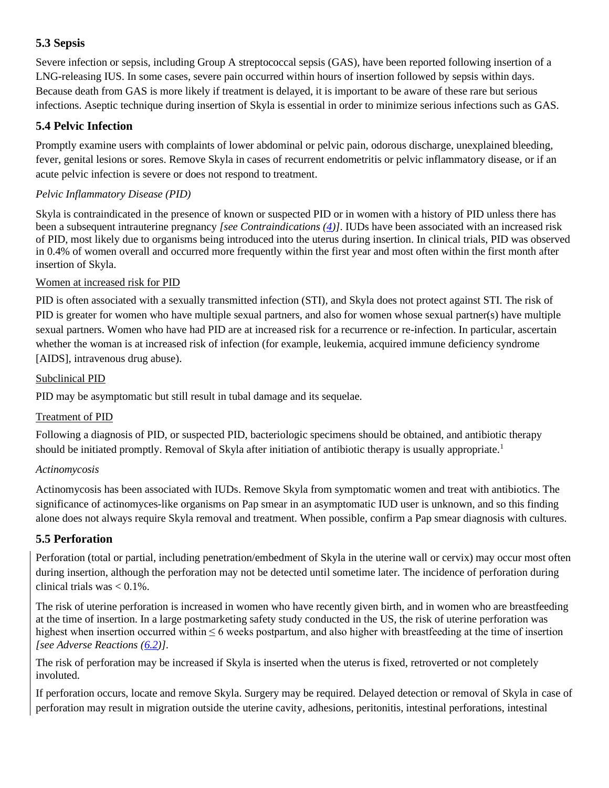## <span id="page-11-0"></span>**5.3 Sepsis**

Severe infection or sepsis, including Group A streptococcal sepsis (GAS), have been reported following insertion of a LNG-releasing IUS. In some cases, severe pain occurred within hours of insertion followed by sepsis within days. Because death from GAS is more likely if treatment is delayed, it is important to be aware of these rare but serious infections. Aseptic technique during insertion of Skyla is essential in order to minimize serious infections such as GAS.

## <span id="page-11-1"></span>**5.4 Pelvic Infection**

Promptly examine users with complaints of lower abdominal or pelvic pain, odorous discharge, unexplained bleeding, fever, genital lesions or sores. Remove Skyla in cases of recurrent endometritis or pelvic inflammatory disease, or if an acute pelvic infection is severe or does not respond to treatment.

## *Pelvic Inflammatory Disease (PID)*

Skyla is contraindicated in the presence of known or suspected PID or in women with a history of PID unless there has been a subsequent intrauterine pregnancy *[see Contraindications [\(4\)](#page-9-1)]*. IUDs have been associated with an increased risk of PID, most likely due to organisms being introduced into the uterus during insertion. In clinical trials, PID was observed in 0.4% of women overall and occurred more frequently within the first year and most often within the first month after insertion of Skyla.

#### Women at increased risk for PID

PID is often associated with a sexually transmitted infection (STI), and Skyla does not protect against STI. The risk of PID is greater for women who have multiple sexual partners, and also for women whose sexual partner(s) have multiple sexual partners. Women who have had PID are at increased risk for a recurrence or re-infection. In particular, ascertain whether the woman is at increased risk of infection (for example, leukemia, acquired immune deficiency syndrome [AIDS], intravenous drug abuse).

#### Subclinical PID

PID may be asymptomatic but still result in tubal damage and its sequelae.

## Treatment of PID

Following a diagnosis of PID, or suspected PID, bacteriologic specimens should be obtained, and antibiotic therapy should be initiated promptly. Removal of Skyla after initiation of antibiotic therapy is usually appropriate.<sup>1</sup>

#### *Actinomycosis*

Actinomycosis has been associated with IUDs. Remove Skyla from symptomatic women and treat with antibiotics. The significance of actinomyces-like organisms on Pap smear in an asymptomatic IUD user is unknown, and so this finding alone does not always require Skyla removal and treatment. When possible, confirm a Pap smear diagnosis with cultures.

## <span id="page-11-2"></span>**5.5 Perforation**

Perforation (total or partial, including penetration/embedment of Skyla in the uterine wall or cervix) may occur most often during insertion, although the perforation may not be detected until sometime later. The incidence of perforation during clinical trials was  $< 0.1\%$ .

The risk of uterine perforation is increased in women who have recently given birth, and in women who are breastfeeding at the time of insertion. In a large postmarketing safety study conducted in the US, the risk of uterine perforation was highest when insertion occurred within  $\leq 6$  weeks postpartum, and also higher with breastfeeding at the time of insertion *[see Adverse Reactions [\(6.2\)](#page-15-0)]*.

The risk of perforation may be increased if Skyla is inserted when the uterus is fixed, retroverted or not completely involuted.

If perforation occurs, locate and remove Skyla. Surgery may be required. Delayed detection or removal of Skyla in case of perforation may result in migration outside the uterine cavity, adhesions, peritonitis, intestinal perforations, intestinal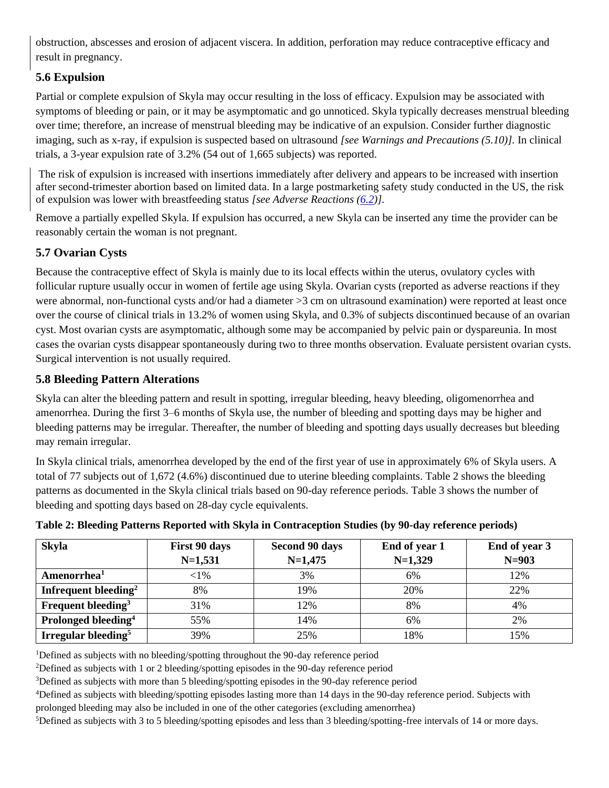obstruction, abscesses and erosion of adjacent viscera. In addition, perforation may reduce contraceptive efficacy and result in pregnancy.

# <span id="page-12-0"></span>**5.6 Expulsion**

Partial or complete expulsion of Skyla may occur resulting in the loss of efficacy. Expulsion may be associated with symptoms of bleeding or pain, or it may be asymptomatic and go unnoticed. Skyla typically decreases menstrual bleeding over time; therefore, an increase of menstrual bleeding may be indicative of an expulsion. Consider further diagnostic imaging, such as x-ray, if expulsion is suspected based on ultrasound *[see Warnings and Precautions (5.10)].* In clinical trials, a 3-year expulsion rate of 3.2% (54 out of 1,665 subjects) was reported.

The risk of expulsion is increased with insertions immediately after delivery and appears to be increased with insertion after second-trimester abortion based on limited data. In a large postmarketing safety study conducted in the US, the risk of expulsion was lower with breastfeeding status *[see Adverse Reactions [\(6.2\)](#page-15-0)].*

Remove a partially expelled Skyla. If expulsion has occurred, a new Skyla can be inserted any time the provider can be reasonably certain the woman is not pregnant.

# <span id="page-12-1"></span>**5.7 Ovarian Cysts**

Because the contraceptive effect of Skyla is mainly due to its local effects within the uterus, ovulatory cycles with follicular rupture usually occur in women of fertile age using Skyla. Ovarian cysts (reported as adverse reactions if they were abnormal, non-functional cysts and/or had a diameter >3 cm on ultrasound examination) were reported at least once over the course of clinical trials in 13.2% of women using Skyla, and 0.3% of subjects discontinued because of an ovarian cyst. Most ovarian cysts are asymptomatic, although some may be accompanied by pelvic pain or dyspareunia. In most cases the ovarian cysts disappear spontaneously during two to three months observation. Evaluate persistent ovarian cysts. Surgical intervention is not usually required.

# <span id="page-12-2"></span>**5.8 Bleeding Pattern Alterations**

Skyla can alter the bleeding pattern and result in spotting, irregular bleeding, heavy bleeding, oligomenorrhea and amenorrhea. During the first 3–6 months of Skyla use, the number of bleeding and spotting days may be higher and bleeding patterns may be irregular. Thereafter, the number of bleeding and spotting days usually decreases but bleeding may remain irregular.

In Skyla clinical trials, amenorrhea developed by the end of the first year of use in approximately 6% of Skyla users. A total of 77 subjects out of 1,672 (4.6%) discontinued due to uterine bleeding complaints. Table 2 shows the bleeding patterns as documented in the Skyla clinical trials based on 90-day reference periods. Table 3 shows the number of bleeding and spotting days based on 28-day cycle equivalents.

| <b>Skyla</b>                     | First 90 days | Second 90 days | End of year 1 | End of year 3 |
|----------------------------------|---------------|----------------|---------------|---------------|
|                                  | $N=1,531$     | $N=1,475$      | $N=1,329$     | $N = 903$     |
| Amenorrhea <sup>1</sup>          | ${<}1\%$      | 3%             | 6%            | 12%           |
| Infrequent bleeding <sup>2</sup> | 8%            | 19%            | 20%           | 22%           |
| Frequent bleeding <sup>3</sup>   | 31%           | 12%            | 8%            | 4%            |
| Prolonged bleeding <sup>4</sup>  | 55%           | 14%            | 6%            | 2%            |
| Irregular bleeding <sup>5</sup>  | 39%           | 25%            | 18%           | 15%           |

## **Table 2: Bleeding Patterns Reported with Skyla in Contraception Studies (by 90-day reference periods)**

<sup>1</sup>Defined as subjects with no bleeding/spotting throughout the 90-day reference period

<sup>2</sup>Defined as subjects with 1 or 2 bleeding/spotting episodes in the 90-day reference period

<sup>3</sup>Defined as subjects with more than 5 bleeding/spotting episodes in the 90-day reference period

<sup>4</sup>Defined as subjects with bleeding/spotting episodes lasting more than 14 days in the 90-day reference period. Subjects with

prolonged bleeding may also be included in one of the other categories (excluding amenorrhea)

5Defined as subjects with 3 to 5 bleeding/spotting episodes and less than 3 bleeding/spotting-free intervals of 14 or more days.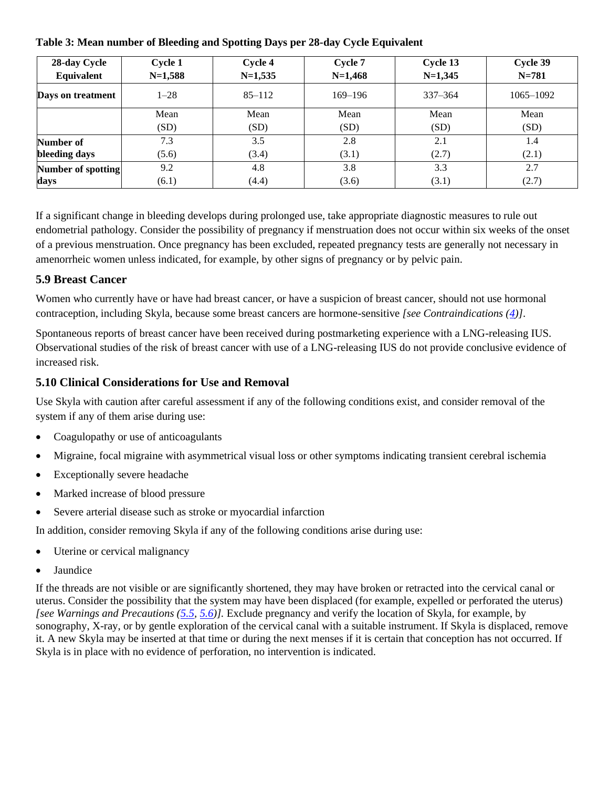| 28-day Cycle<br>Equivalent | Cycle 1<br>$N=1,588$ | Cycle 4<br>$N=1,535$ | Cycle 7<br>$N=1,468$ | Cycle 13<br>$N=1,345$ | Cycle 39<br>$N = 781$ |
|----------------------------|----------------------|----------------------|----------------------|-----------------------|-----------------------|
|                            |                      |                      |                      |                       |                       |
| Days on treatment          | $1 - 28$             | $85 - 112$           | $169 - 196$          | $337 - 364$           | $1065 - 1092$         |
|                            | Mean                 | Mean                 | Mean                 | Mean                  | Mean                  |
|                            | (SD)                 | (SD)                 | (SD)                 | (SD)                  | (SD)                  |
| Number of                  | 7.3                  | 3.5                  | 2.8                  | 2.1                   | 1.4                   |
| bleeding days              | (5.6)                | (3.4)                | (3.1)                | (2.7)                 | (2.1)                 |
| <b>Number of spotting</b>  | 9.2                  | 4.8                  | 3.8                  | 3.3                   | 2.7                   |
| days                       | (6.1)                | (4.4)                | (3.6)                | (3.1)                 | (2.7)                 |

If a significant change in bleeding develops during prolonged use, take appropriate diagnostic measures to rule out endometrial pathology*.* Consider the possibility of pregnancy if menstruation does not occur within six weeks of the onset of a previous menstruation. Once pregnancy has been excluded, repeated pregnancy tests are generally not necessary in amenorrheic women unless indicated, for example, by other signs of pregnancy or by pelvic pain.

## <span id="page-13-1"></span>**5.9 Breast Cancer**

Women who currently have or have had breast cancer, or have a suspicion of breast cancer, should not use hormonal contraception, including Skyla, because some breast cancers are hormone-sensitive *[see Contraindications [\(4\)](#page-9-1)]*.

Spontaneous reports of breast cancer have been received during postmarketing experience with a LNG-releasing IUS. Observational studies of the risk of breast cancer with use of a LNG-releasing IUS do not provide conclusive evidence of increased risk.

## <span id="page-13-0"></span>**5.10 Clinical Considerations for Use and Removal**

Use Skyla with caution after careful assessment if any of the following conditions exist, and consider removal of the system if any of them arise during use:

- Coagulopathy or use of anticoagulants
- Migraine, focal migraine with asymmetrical visual loss or other symptoms indicating transient cerebral ischemia
- Exceptionally severe headache
- Marked increase of blood pressure
- Severe arterial disease such as stroke or myocardial infarction

In addition, consider removing Skyla if any of the following conditions arise during use:

- Uterine or cervical malignancy
- **Jaundice**

If the threads are not visible or are significantly shortened, they may have broken or retracted into the cervical canal or uterus. Consider the possibility that the system may have been displaced (for example, expelled or perforated the uterus) *[see Warnings and Precautions [\(5.5,](#page-11-2) [5.6\)](#page-12-0)].* Exclude pregnancy and verify the location of Skyla, for example, by sonography, X-ray, or by gentle exploration of the cervical canal with a suitable instrument. If Skyla is displaced, remove it. A new Skyla may be inserted at that time or during the next menses if it is certain that conception has not occurred. If Skyla is in place with no evidence of perforation, no intervention is indicated.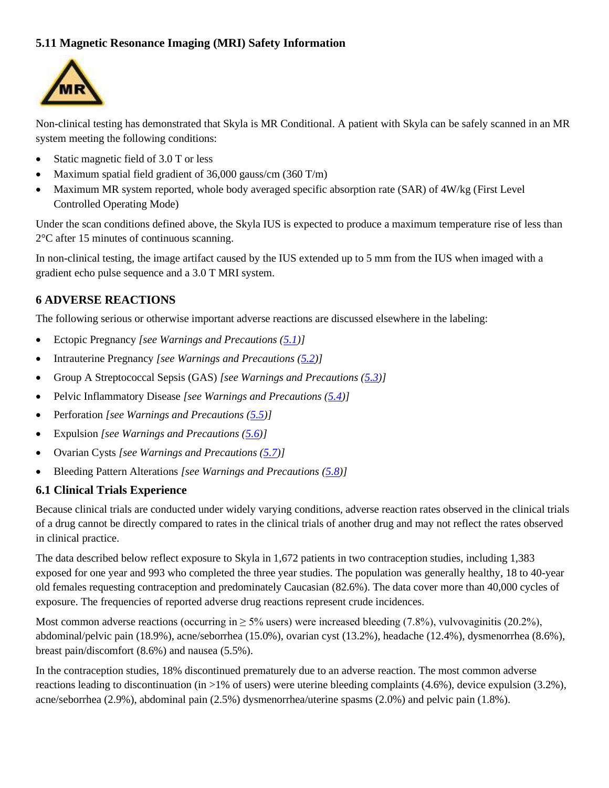## <span id="page-14-0"></span>**5.11 Magnetic Resonance Imaging (MRI) Safety Information**



Non-clinical testing has demonstrated that Skyla is MR Conditional. A patient with Skyla can be safely scanned in an MR system meeting the following conditions:

- Static magnetic field of 3.0 T or less
- Maximum spatial field gradient of 36,000 gauss/cm (360 T/m)
- Maximum MR system reported, whole body averaged specific absorption rate (SAR) of 4W/kg (First Level Controlled Operating Mode)

Under the scan conditions defined above, the Skyla IUS is expected to produce a maximum temperature rise of less than 2°C after 15 minutes of continuous scanning.

In non-clinical testing, the image artifact caused by the IUS extended up to 5 mm from the IUS when imaged with a gradient echo pulse sequence and a 3.0 T MRI system.

#### <span id="page-14-1"></span>**6 ADVERSE REACTIONS**

The following serious or otherwise important adverse reactions are discussed elsewhere in the labeling:

- Ectopic Pregnancy *[see Warnings and Precautions [\(5.1\)](#page-10-1)]*
- Intrauterine Pregnancy *[see Warnings and Precautions [\(5.2\)](#page-10-0)]*
- Group A Streptococcal Sepsis (GAS) *[see Warnings and Precautions [\(5.3\)](#page-11-0)]*
- Pelvic Inflammatory Disease *[see Warnings and Precautions [\(5.4\)](#page-11-1)]*
- Perforation *[see Warnings and Precautions [\(5.5\)](#page-11-2)]*
- Expulsion *[see Warnings and Precautions [\(5.6\)](#page-12-0)]*
- Ovarian Cysts *[see Warnings and Precautions [\(5.7\)](#page-12-1)]*
- Bleeding Pattern Alterations *[see Warnings and Precautions [\(5.8\)](#page-12-2)]*

#### **6.1 Clinical Trials Experience**

Because clinical trials are conducted under widely varying conditions, adverse reaction rates observed in the clinical trials of a drug cannot be directly compared to rates in the clinical trials of another drug and may not reflect the rates observed in clinical practice.

The data described below reflect exposure to Skyla in 1,672 patients in two contraception studies, including 1,383 exposed for one year and 993 who completed the three year studies. The population was generally healthy, 18 to 40-year old females requesting contraception and predominately Caucasian (82.6%). The data cover more than 40,000 cycles of exposure. The frequencies of reported adverse drug reactions represent crude incidences.

Most common adverse reactions (occurring in  $\geq$  5% users) were increased bleeding (7.8%), vulvovaginitis (20.2%), abdominal/pelvic pain (18.9%), acne/seborrhea (15.0%), ovarian cyst (13.2%), headache (12.4%), dysmenorrhea (8.6%), breast pain/discomfort (8.6%) and nausea (5.5%).

In the contraception studies, 18% discontinued prematurely due to an adverse reaction. The most common adverse reactions leading to discontinuation (in >1% of users) were uterine bleeding complaints (4.6%), device expulsion (3.2%), acne/seborrhea (2.9%), abdominal pain (2.5%) dysmenorrhea/uterine spasms (2.0%) and pelvic pain (1.8%).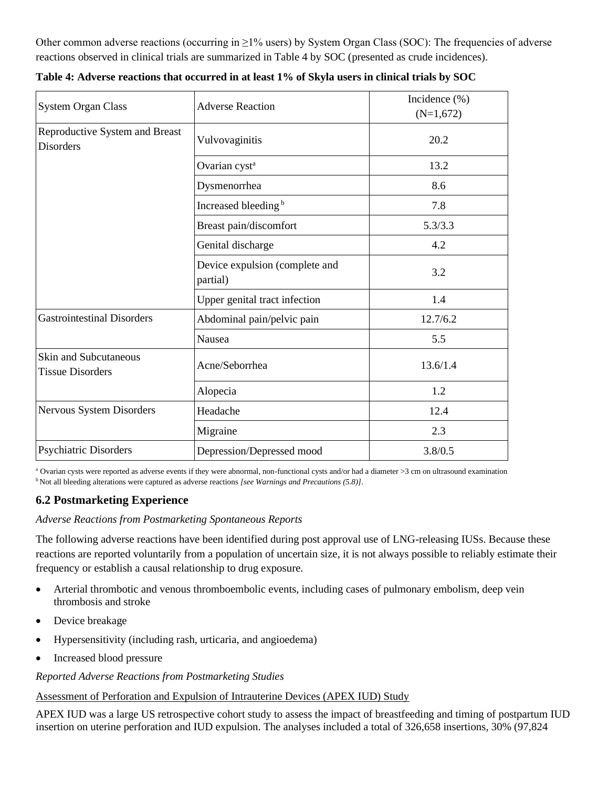Other common adverse reactions (occurring in ≥1% users) by System Organ Class (SOC): The frequencies of adverse reactions observed in clinical trials are summarized in Table 4 by SOC (presented as crude incidences).

| <b>System Organ Class</b>                          | <b>Adverse Reaction</b>                    | Incidence $(\%)$<br>$(N=1,672)$ |
|----------------------------------------------------|--------------------------------------------|---------------------------------|
| Reproductive System and Breast<br><b>Disorders</b> | Vulvovaginitis                             | 20.2                            |
|                                                    | Ovarian cyst <sup>a</sup>                  | 13.2                            |
|                                                    | Dysmenorrhea                               | 8.6                             |
|                                                    | Increased bleeding <sup>b</sup>            | 7.8                             |
|                                                    | Breast pain/discomfort                     | 5.3/3.3                         |
|                                                    | Genital discharge                          | 4.2                             |
|                                                    | Device expulsion (complete and<br>partial) | 3.2                             |
|                                                    | Upper genital tract infection              | 1.4                             |
| <b>Gastrointestinal Disorders</b>                  | Abdominal pain/pelvic pain                 | 12.7/6.2                        |
|                                                    | Nausea                                     | 5.5                             |
| Skin and Subcutaneous<br><b>Tissue Disorders</b>   | Acne/Seborrhea                             | 13.6/1.4                        |
|                                                    | Alopecia                                   | 1.2                             |
| Nervous System Disorders                           | Headache                                   | 12.4                            |
|                                                    | Migraine                                   | 2.3                             |
| Psychiatric Disorders                              | Depression/Depressed mood                  | 3.8/0.5                         |

**Table 4: Adverse reactions that occurred in at least 1% of Skyla users in clinical trials by SOC**

<sup>a</sup> Ovarian cysts were reported as adverse events if they were abnormal, non-functional cysts and/or had a diameter >3 cm on ultrasound examination <sup>b</sup> Not all bleeding alterations were captured as adverse reactions *[see Warnings and Precautions (5.8)]*.

## <span id="page-15-0"></span>**6.2 Postmarketing Experience**

#### *Adverse Reactions from Postmarketing Spontaneous Reports*

The following adverse reactions have been identified during post approval use of LNG-releasing IUSs. Because these reactions are reported voluntarily from a population of uncertain size, it is not always possible to reliably estimate their frequency or establish a causal relationship to drug exposure.

- Arterial thrombotic and venous thromboembolic events, including cases of pulmonary embolism, deep vein thrombosis and stroke
- Device breakage
- Hypersensitivity (including rash, urticaria, and angioedema)
- Increased blood pressure

#### *Reported Adverse Reactions from Postmarketing Studies*

Assessment of Perforation and Expulsion of Intrauterine Devices (APEX IUD) Study

APEX IUD was a large US retrospective cohort study to assess the impact of breastfeeding and timing of postpartum IUD insertion on uterine perforation and IUD expulsion. The analyses included a total of 326,658 insertions, 30% (97,824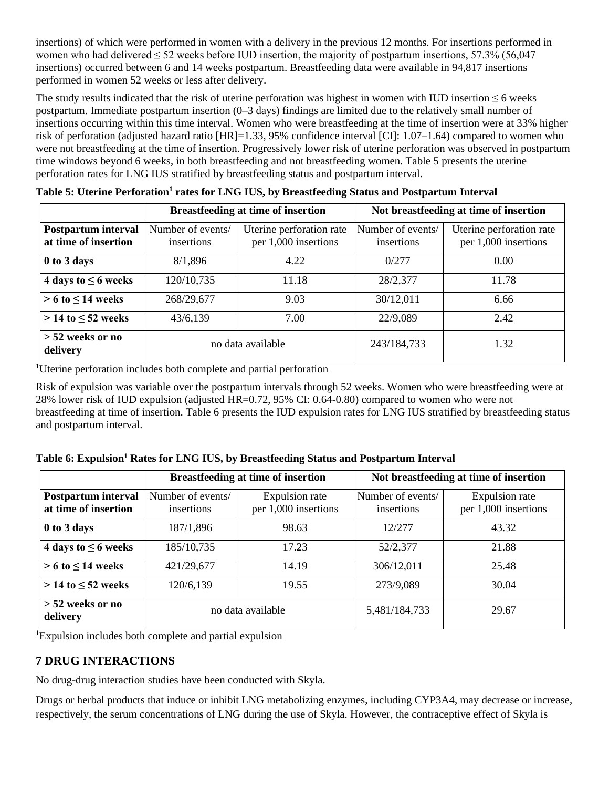insertions) of which were performed in women with a delivery in the previous 12 months. For insertions performed in women who had delivered  $\leq 52$  weeks before IUD insertion, the majority of postpartum insertions, 57.3% (56,047) insertions) occurred between 6 and 14 weeks postpartum. Breastfeeding data were available in 94,817 insertions performed in women 52 weeks or less after delivery.

The study results indicated that the risk of uterine perforation was highest in women with IUD insertion  $\leq 6$  weeks postpartum. Immediate postpartum insertion (0–3 days) findings are limited due to the relatively small number of insertions occurring within this time interval. Women who were breastfeeding at the time of insertion were at 33% higher risk of perforation (adjusted hazard ratio [HR]=1.33, 95% confidence interval [CI]: 1.07–1.64) compared to women who were not breastfeeding at the time of insertion. Progressively lower risk of uterine perforation was observed in postpartum time windows beyond 6 weeks, in both breastfeeding and not breastfeeding women. Table 5 presents the uterine perforation rates for LNG IUS stratified by breastfeeding status and postpartum interval.

|                                             |                                                                                     | <b>Breastfeeding at time of insertion</b> | Not breastfeeding at time of insertion |                                                  |  |
|---------------------------------------------|-------------------------------------------------------------------------------------|-------------------------------------------|----------------------------------------|--------------------------------------------------|--|
| Postpartum interval<br>at time of insertion | Number of events/<br>Uterine perforation rate<br>per 1,000 insertions<br>insertions |                                           | Number of events/<br>insertions        | Uterine perforation rate<br>per 1,000 insertions |  |
| 0 to 3 days                                 | 8/1,896                                                                             | 4.22                                      | 0/277                                  | 0.00                                             |  |
| 4 days to $\leq$ 6 weeks                    | 120/10,735                                                                          | 11.18                                     | 28/2,377                               | 11.78                                            |  |
| $> 6$ to $\leq 14$ weeks                    | 268/29,677                                                                          | 9.03                                      | 30/12,011                              | 6.66                                             |  |
| $> 14$ to $\leq 52$ weeks                   | 7.00<br>43/6,139                                                                    |                                           | 22/9,089                               | 2.42                                             |  |
| $> 52$ weeks or no<br>delivery              |                                                                                     | no data available                         | 243/184,733                            | 1.32                                             |  |

**Table 5: Uterine Perforation<sup>1</sup> rates for LNG IUS, by Breastfeeding Status and Postpartum Interval**

<sup>1</sup>Uterine perforation includes both complete and partial perforation

Risk of expulsion was variable over the postpartum intervals through 52 weeks. Women who were breastfeeding were at 28% lower risk of IUD expulsion (adjusted HR=0.72, 95% CI: 0.64-0.80) compared to women who were not breastfeeding at time of insertion. Table 6 presents the IUD expulsion rates for LNG IUS stratified by breastfeeding status and postpartum interval.

|  |  |  | Table 6: Expulsion <sup>1</sup> Rates for LNG IUS, by Breastfeeding Status and Postpartum Interval |
|--|--|--|----------------------------------------------------------------------------------------------------|
|  |  |  |                                                                                                    |

|                                                    |                                                                           | <b>Breastfeeding at time of insertion</b> | Not breastfeeding at time of insertion |                                        |  |
|----------------------------------------------------|---------------------------------------------------------------------------|-------------------------------------------|----------------------------------------|----------------------------------------|--|
| <b>Postpartum interval</b><br>at time of insertion | Number of events/<br>Expulsion rate<br>per 1,000 insertions<br>insertions |                                           | Number of events/<br>insertions        | Expulsion rate<br>per 1,000 insertions |  |
| 0 to 3 days                                        | 187/1,896                                                                 | 98.63                                     | 12/277                                 | 43.32                                  |  |
| 4 days to $\leq$ 6 weeks                           | 185/10,735                                                                | 17.23                                     | 52/2,377                               | 21.88                                  |  |
| $> 6$ to $\leq 14$ weeks                           | 421/29,677                                                                | 14.19                                     | 306/12,011                             | 25.48                                  |  |
| $>$ 14 to $\leq$ 52 weeks                          | 120/6,139<br>19.55                                                        |                                           | 273/9,089                              | 30.04                                  |  |
| $> 52$ weeks or no<br>delivery                     |                                                                           | no data available                         | 5,481/184,733                          | 29.67                                  |  |

<sup>1</sup>Expulsion includes both complete and partial expulsion

## <span id="page-16-0"></span>**7 DRUG INTERACTIONS**

No drug-drug interaction studies have been conducted with Skyla.

Drugs or herbal products that induce or inhibit LNG metabolizing enzymes, including CYP3A4, may decrease or increase, respectively, the serum concentrations of LNG during the use of Skyla. However, the contraceptive effect of Skyla is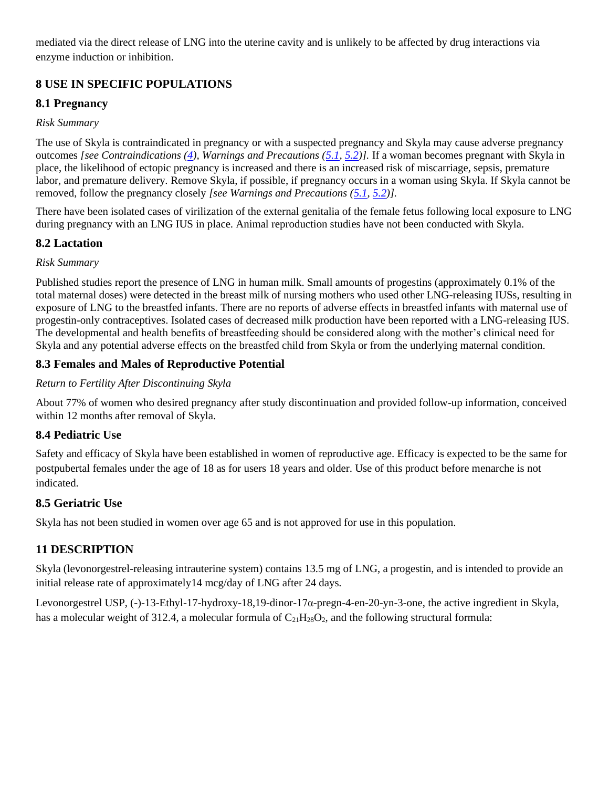mediated via the direct release of LNG into the uterine cavity and is unlikely to be affected by drug interactions via enzyme induction or inhibition.

# **8 USE IN SPECIFIC POPULATIONS**

# <span id="page-17-0"></span>**8.1 Pregnancy**

## *Risk Summary*

The use of Skyla is contraindicated in pregnancy or with a suspected pregnancy and Skyla may cause adverse pregnancy outcomes *[see Contraindications [\(4\)](#page-9-1), Warnings and Precautions [\(5.1,](#page-10-1) [5.2\)](#page-10-0)].* If a woman becomes pregnant with Skyla in place, the likelihood of ectopic pregnancy is increased and there is an increased risk of miscarriage, sepsis, premature labor, and premature delivery*.* Remove Skyla, if possible, if pregnancy occurs in a woman using Skyla. If Skyla cannot be removed, follow the pregnancy closely *[see Warnings and Precautions [\(5.1,](#page-10-1) [5.2\)](#page-10-0)].*

There have been isolated cases of virilization of the external genitalia of the female fetus following local exposure to LNG during pregnancy with an LNG IUS in place. Animal reproduction studies have not been conducted with Skyla.

## **8.2 Lactation**

## *Risk Summary*

Published studies report the presence of LNG in human milk. Small amounts of progestins (approximately 0.1% of the total maternal doses) were detected in the breast milk of nursing mothers who used other LNG-releasing IUSs, resulting in exposure of LNG to the breastfed infants. There are no reports of adverse effects in breastfed infants with maternal use of progestin-only contraceptives. Isolated cases of decreased milk production have been reported with a LNG-releasing IUS. The developmental and health benefits of breastfeeding should be considered along with the mother's clinical need for Skyla and any potential adverse effects on the breastfed child from Skyla or from the underlying maternal condition.

## **8.3 Females and Males of Reproductive Potential**

## *Return to Fertility After Discontinuing Skyla*

About 77% of women who desired pregnancy after study discontinuation and provided follow-up information, conceived within 12 months after removal of Skyla.

## **8.4 Pediatric Use**

Safety and efficacy of Skyla have been established in women of reproductive age. Efficacy is expected to be the same for postpubertal females under the age of 18 as for users 18 years and older. Use of this product before menarche is not indicated.

## **8.5 Geriatric Use**

Skyla has not been studied in women over age 65 and is not approved for use in this population.

# **11 DESCRIPTION**

Skyla (levonorgestrel-releasing intrauterine system) contains 13.5 mg of LNG, a progestin, and is intended to provide an initial release rate of approximately14 mcg/day of LNG after 24 days.

Levonorgestrel USP, (-)-13-Ethyl-17-hydroxy-18,19-dinor-17α-pregn-4-en-20-yn-3-one, the active ingredient in Skyla, has a molecular weight of 312.4, a molecular formula of  $C_{21}H_{28}O_2$ , and the following structural formula: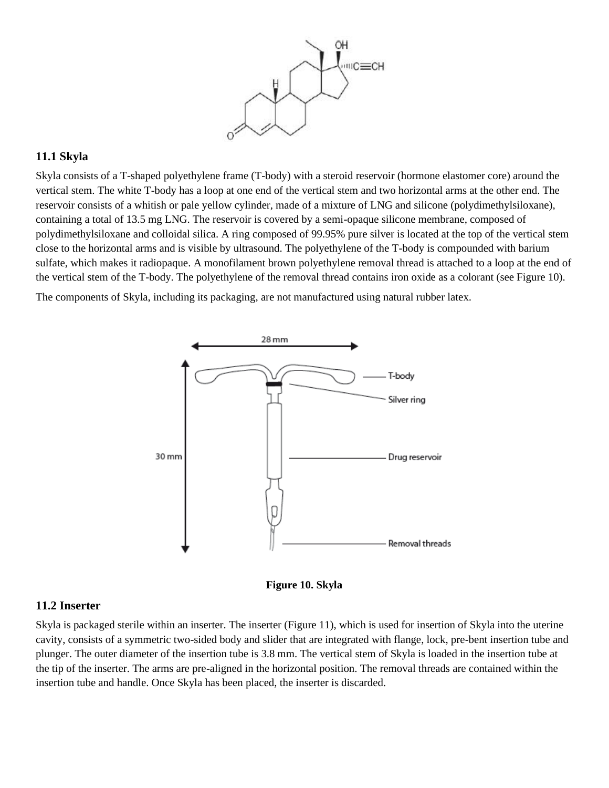

#### **11.1 Skyla**

Skyla consists of a T-shaped polyethylene frame (T-body) with a steroid reservoir (hormone elastomer core) around the vertical stem. The white T-body has a loop at one end of the vertical stem and two horizontal arms at the other end. The reservoir consists of a whitish or pale yellow cylinder, made of a mixture of LNG and silicone (polydimethylsiloxane), containing a total of 13.5 mg LNG. The reservoir is covered by a semi-opaque silicone membrane, composed of polydimethylsiloxane and colloidal silica. A ring composed of 99.95% pure silver is located at the top of the vertical stem close to the horizontal arms and is visible by ultrasound. The polyethylene of the T-body is compounded with barium sulfate, which makes it radiopaque. A monofilament brown polyethylene removal thread is attached to a loop at the end of the vertical stem of the T-body. The polyethylene of the removal thread contains iron oxide as a colorant (see Figure 10).

The components of Skyla, including its packaging, are not manufactured using natural rubber latex.





#### <span id="page-18-0"></span>**11.2 Inserter**

Skyla is packaged sterile within an inserter. The inserter (Figure 11), which is used for insertion of Skyla into the uterine cavity, consists of a symmetric two-sided body and slider that are integrated with flange, lock, pre-bent insertion tube and plunger. The outer diameter of the insertion tube is 3.8 mm. The vertical stem of Skyla is loaded in the insertion tube at the tip of the inserter. The arms are pre-aligned in the horizontal position. The removal threads are contained within the insertion tube and handle. Once Skyla has been placed, the inserter is discarded.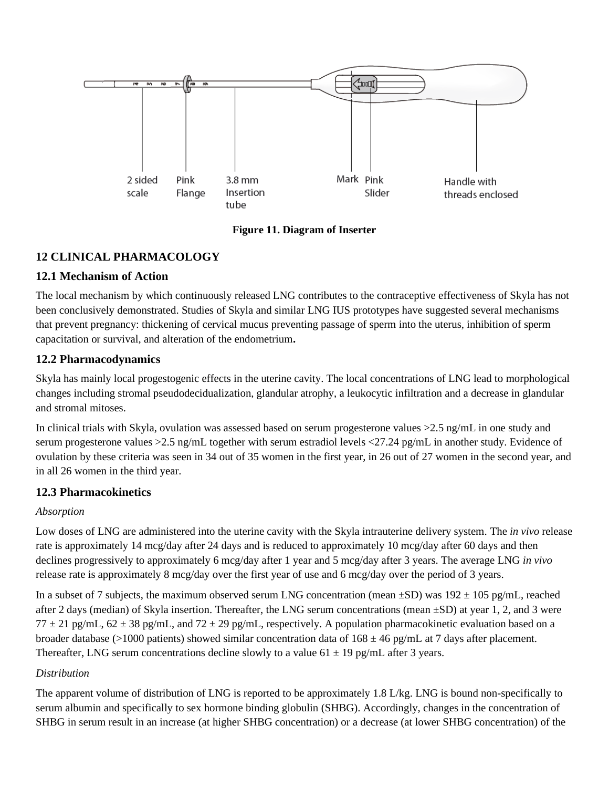

**Figure 11. Diagram of Inserter**

# **12 CLINICAL PHARMACOLOGY**

## **12.1 Mechanism of Action**

The local mechanism by which continuously released LNG contributes to the contraceptive effectiveness of Skyla has not been conclusively demonstrated. Studies of Skyla and similar LNG IUS prototypes have suggested several mechanisms that prevent pregnancy: thickening of cervical mucus preventing passage of sperm into the uterus, inhibition of sperm capacitation or survival, and alteration of the endometrium**.**

## **12.2 Pharmacodynamics**

Skyla has mainly local progestogenic effects in the uterine cavity. The local concentrations of LNG lead to morphological changes including stromal pseudodecidualization, glandular atrophy, a leukocytic infiltration and a decrease in glandular and stromal mitoses.

In clinical trials with Skyla, ovulation was assessed based on serum progesterone values >2.5 ng/mL in one study and serum progesterone values >2.5 ng/mL together with serum estradiol levels <27.24 pg/mL in another study. Evidence of ovulation by these criteria was seen in 34 out of 35 women in the first year, in 26 out of 27 women in the second year, and in all 26 women in the third year*.*

## <span id="page-19-0"></span>**12.3 Pharmacokinetics**

## *Absorption*

Low doses of LNG are administered into the uterine cavity with the Skyla intrauterine delivery system. The *in vivo* release rate is approximately 14 mcg/day after 24 days and is reduced to approximately 10 mcg/day after 60 days and then declines progressively to approximately 6 mcg/day after 1 year and 5 mcg/day after 3 years. The average LNG *in vivo* release rate is approximately 8 mcg/day over the first year of use and 6 mcg/day over the period of 3 years.

In a subset of 7 subjects, the maximum observed serum LNG concentration (mean  $\pm SD$ ) was  $192 \pm 105$  pg/mL, reached after 2 days (median) of Skyla insertion. Thereafter, the LNG serum concentrations (mean  $\pm$ SD) at year 1, 2, and 3 were  $77 \pm 21$  pg/mL,  $62 \pm 38$  pg/mL, and  $72 \pm 29$  pg/mL, respectively. A population pharmacokinetic evaluation based on a broader database (>1000 patients) showed similar concentration data of  $168 \pm 46$  pg/mL at 7 days after placement. Thereafter, LNG serum concentrations decline slowly to a value  $61 \pm 19$  pg/mL after 3 years.

## *Distribution*

The apparent volume of distribution of LNG is reported to be approximately 1.8 L/kg. LNG is bound non-specifically to serum albumin and specifically to sex hormone binding globulin (SHBG). Accordingly, changes in the concentration of SHBG in serum result in an increase (at higher SHBG concentration) or a decrease (at lower SHBG concentration) of the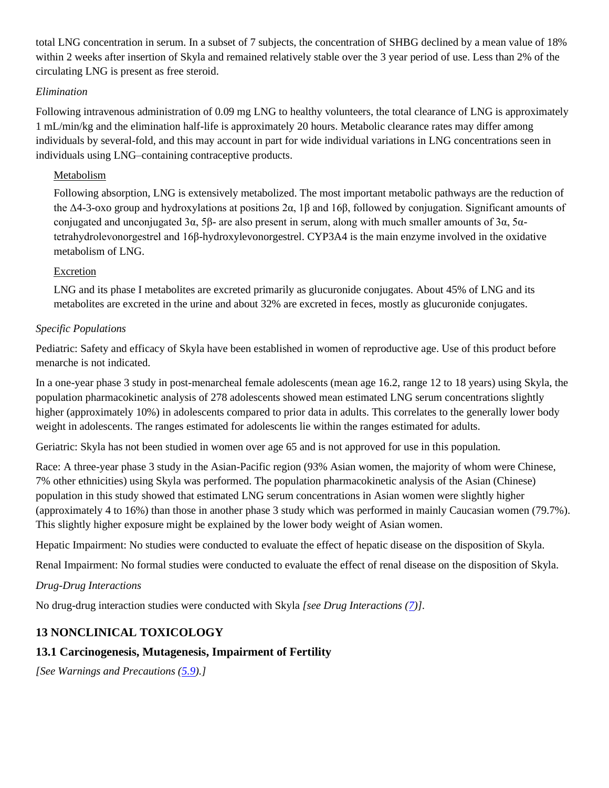total LNG concentration in serum. In a subset of 7 subjects, the concentration of SHBG declined by a mean value of 18% within 2 weeks after insertion of Skyla and remained relatively stable over the 3 year period of use. Less than 2% of the circulating LNG is present as free steroid.

#### *Elimination*

Following intravenous administration of 0.09 mg LNG to healthy volunteers, the total clearance of LNG is approximately 1 mL/min/kg and the elimination half-life is approximately 20 hours. Metabolic clearance rates may differ among individuals by several-fold, and this may account in part for wide individual variations in LNG concentrations seen in individuals using LNG–containing contraceptive products.

#### Metabolism

Following absorption, LNG is extensively metabolized. The most important metabolic pathways are the reduction of the Δ4-3-oxo group and hydroxylations at positions 2α, 1β and 16β, followed by conjugation. Significant amounts of conjugated and unconjugated 3α, 5β- are also present in serum, along with much smaller amounts of 3α, 5αtetrahydrolevonorgestrel and 16β-hydroxylevonorgestrel. CYP3A4 is the main enzyme involved in the oxidative metabolism of LNG.

#### Excretion

LNG and its phase I metabolites are excreted primarily as glucuronide conjugates. About 45% of LNG and its metabolites are excreted in the urine and about 32% are excreted in feces, mostly as glucuronide conjugates.

#### *Specific Populations*

Pediatric: Safety and efficacy of Skyla have been established in women of reproductive age. Use of this product before menarche is not indicated*.* 

In a one-year phase 3 study in post-menarcheal female adolescents (mean age 16.2, range 12 to 18 years) using Skyla, the population pharmacokinetic analysis of 278 adolescents showed mean estimated LNG serum concentrations slightly higher (approximately 10%) in adolescents compared to prior data in adults. This correlates to the generally lower body weight in adolescents. The ranges estimated for adolescents lie within the ranges estimated for adults.

Geriatric: Skyla has not been studied in women over age 65 and is not approved for use in this population*.*

Race: A three-year phase 3 study in the Asian-Pacific region (93% Asian women, the majority of whom were Chinese, 7% other ethnicities) using Skyla was performed. The population pharmacokinetic analysis of the Asian (Chinese) population in this study showed that estimated LNG serum concentrations in Asian women were slightly higher (approximately 4 to 16%) than those in another phase 3 study which was performed in mainly Caucasian women (79.7%). This slightly higher exposure might be explained by the lower body weight of Asian women.

Hepatic Impairment: No studies were conducted to evaluate the effect of hepatic disease on the disposition of Skyla*.*

Renal Impairment: No formal studies were conducted to evaluate the effect of renal disease on the disposition of Skyla.

#### *Drug-Drug Interactions*

No drug-drug interaction studies were conducted with Skyla *[see Drug Interactions [\(7\)](#page-16-0)]*.

## **13 NONCLINICAL TOXICOLOGY**

## **13.1 Carcinogenesis, Mutagenesis, Impairment of Fertility**

*[See Warnings and Precautions [\(5.9\)](#page-13-1).]*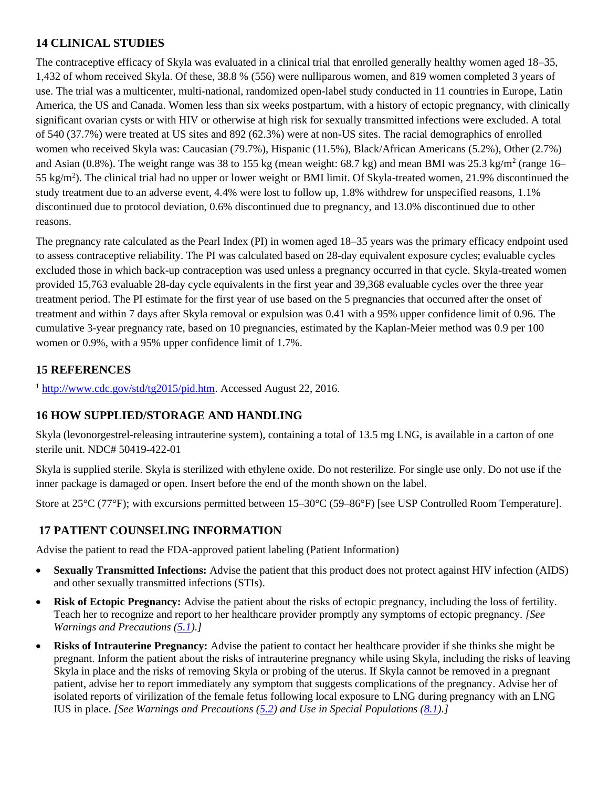## **14 CLINICAL STUDIES**

The contraceptive efficacy of Skyla was evaluated in a clinical trial that enrolled generally healthy women aged 18–35, 1,432 of whom received Skyla. Of these, 38.8 % (556) were nulliparous women, and 819 women completed 3 years of use. The trial was a multicenter, multi-national, randomized open-label study conducted in 11 countries in Europe, Latin America, the US and Canada. Women less than six weeks postpartum, with a history of ectopic pregnancy, with clinically significant ovarian cysts or with HIV or otherwise at high risk for sexually transmitted infections were excluded. A total of 540 (37.7%) were treated at US sites and 892 (62.3%) were at non-US sites. The racial demographics of enrolled women who received Skyla was: Caucasian (79.7%), Hispanic (11.5%), Black/African Americans (5.2%), Other (2.7%) and Asian (0.8%). The weight range was 38 to 155 kg (mean weight: 68.7 kg) and mean BMI was  $25.3 \text{ kg/m}^2$  (range 16– 55 kg/m<sup>2</sup>). The clinical trial had no upper or lower weight or BMI limit. Of Skyla-treated women, 21.9% discontinued the study treatment due to an adverse event, 4.4% were lost to follow up, 1.8% withdrew for unspecified reasons, 1.1% discontinued due to protocol deviation, 0.6% discontinued due to pregnancy, and 13.0% discontinued due to other reasons.

The pregnancy rate calculated as the Pearl Index (PI) in women aged 18–35 years was the primary efficacy endpoint used to assess contraceptive reliability. The PI was calculated based on 28-day equivalent exposure cycles; evaluable cycles excluded those in which back-up contraception was used unless a pregnancy occurred in that cycle. Skyla-treated women provided 15,763 evaluable 28-day cycle equivalents in the first year and 39,368 evaluable cycles over the three year treatment period. The PI estimate for the first year of use based on the 5 pregnancies that occurred after the onset of treatment and within 7 days after Skyla removal or expulsion was 0.41 with a 95% upper confidence limit of 0.96. The cumulative 3-year pregnancy rate, based on 10 pregnancies, estimated by the Kaplan-Meier method was 0.9 per 100 women or 0.9%, with a 95% upper confidence limit of 1.7%.

# **15 REFERENCES**

<sup>1</sup> [http://www.cdc.gov/std/tg2015/pid.htm.](http://www.cdc.gov/std/tg2015/pid.htm) Accessed August 22, 2016.

## **16 HOW SUPPLIED/STORAGE AND HANDLING**

Skyla (levonorgestrel-releasing intrauterine system), containing a total of 13.5 mg LNG, is available in a carton of one sterile unit. NDC# 50419-422-01

Skyla is supplied sterile. Skyla is sterilized with ethylene oxide. Do not resterilize. For single use only. Do not use if the inner package is damaged or open. Insert before the end of the month shown on the label.

Store at 25°C (77°F); with excursions permitted between 15–30°C (59–86°F) [see USP Controlled Room Temperature].

## **17 PATIENT COUNSELING INFORMATION**

Advise the patient to read the FDA-approved patient labeling (Patient Information)

- **Sexually Transmitted Infections:** Advise the patient that this product does not protect against HIV infection (AIDS) and other sexually transmitted infections (STIs).
- **Risk of Ectopic Pregnancy:** Advise the patient about the risks of ectopic pregnancy, including the loss of fertility. Teach her to recognize and report to her healthcare provider promptly any symptoms of ectopic pregnancy. *[See Warnings and Precautions [\(5.1\)](#page-10-1).]*
- **Risks of Intrauterine Pregnancy:** Advise the patient to contact her healthcare provider if she thinks she might be pregnant. Inform the patient about the risks of intrauterine pregnancy while using Skyla, including the risks of leaving Skyla in place and the risks of removing Skyla or probing of the uterus. If Skyla cannot be removed in a pregnant patient, advise her to report immediately any symptom that suggests complications of the pregnancy. Advise her of isolated reports of virilization of the female fetus following local exposure to LNG during pregnancy with an LNG IUS in place. *[See Warnings and Precautions [\(5.2\)](#page-10-0) and Use in Special Populations [\(8.1\)](#page-17-0).]*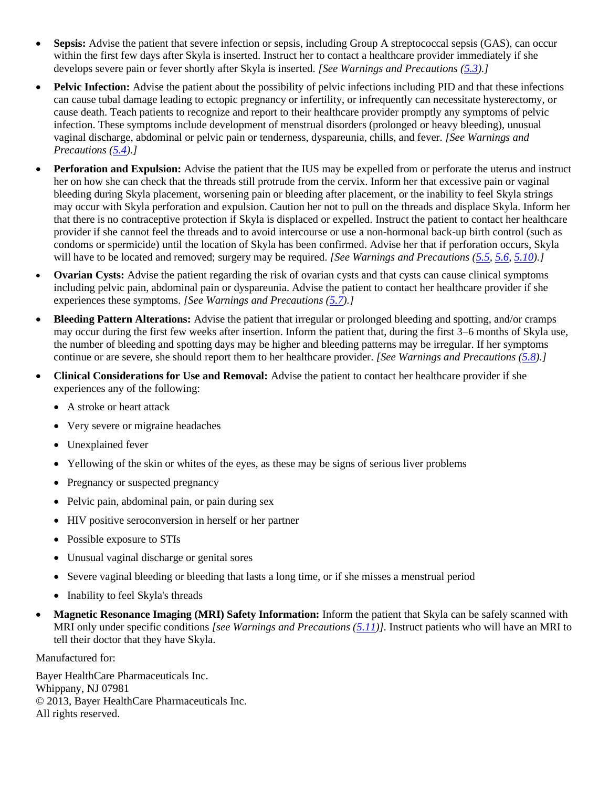- **Sepsis:** Advise the patient that severe infection or sepsis, including Group A streptococcal sepsis (GAS), can occur within the first few days after Skyla is inserted. Instruct her to contact a healthcare provider immediately if she develops severe pain or fever shortly after Skyla is inserted. *[See Warnings and Precautions (5.3).]*
- **Pelvic Infection:** Advise the patient about the possibility of pelvic infections including PID and that these infections can cause tubal damage leading to ectopic pregnancy or infertility, or infrequently can necessitate hysterectomy, or cause death. Teach patients to recognize and report to their healthcare provider promptly any symptoms of pelvic infection. These symptoms include development of menstrual disorders (prolonged or heavy bleeding), unusual vaginal discharge, abdominal or pelvic pain or tenderness, dyspareunia, chills, and fever. *[See Warnings and Precautions [\(5.4\)](#page-11-1).]*
- **Perforation and Expulsion:** Advise the patient that the IUS may be expelled from or perforate the uterus and instruct her on how she can check that the threads still protrude from the cervix. Inform her that excessive pain or vaginal bleeding during Skyla placement, worsening pain or bleeding after placement, or the inability to feel Skyla strings may occur with Skyla perforation and expulsion. Caution her not to pull on the threads and displace Skyla. Inform her that there is no contraceptive protection if Skyla is displaced or expelled. Instruct the patient to contact her healthcare provider if she cannot feel the threads and to avoid intercourse or use a non-hormonal back-up birth control (such as condoms or spermicide) until the location of Skyla has been confirmed. Advise her that if perforation occurs, Skyla will have to be located and removed; surgery may be required. *[See Warnings and Precautions [\(5.5,](#page-11-2) [5.6,](#page-12-0) [5.10\)](#page-13-0).]*
- **Ovarian Cysts:** Advise the patient regarding the risk of ovarian cysts and that cysts can cause clinical symptoms including pelvic pain, abdominal pain or dyspareunia. Advise the patient to contact her healthcare provider if she experiences these symptoms. *[See Warnings and Precautions [\(5.7\)](#page-12-1).]*
- **Bleeding Pattern Alterations:** Advise the patient that irregular or prolonged bleeding and spotting, and/or cramps may occur during the first few weeks after insertion. Inform the patient that, during the first 3–6 months of Skyla use, the number of bleeding and spotting days may be higher and bleeding patterns may be irregular. If her symptoms continue or are severe, she should report them to her healthcare provider. *[See Warnings and Precautions [\(5.8\)](#page-12-2).]*
- **Clinical Considerations for Use and Removal:** Advise the patient to contact her healthcare provider if she experiences any of the following:
	- A stroke or heart attack
	- Very severe or migraine headaches
	- Unexplained fever
	- Yellowing of the skin or whites of the eyes, as these may be signs of serious liver problems
	- Pregnancy or suspected pregnancy
	- Pelvic pain, abdominal pain, or pain during sex
	- HIV positive seroconversion in herself or her partner
	- Possible exposure to STIs
	- Unusual vaginal discharge or genital sores
	- Severe vaginal bleeding or bleeding that lasts a long time, or if she misses a menstrual period
	- Inability to feel Skyla's threads
- **Magnetic Resonance Imaging (MRI) Safety Information:** Inform the patient that Skyla can be safely scanned with MRI only under specific conditions *[see Warnings and Precautions [\(5.11\)](#page-14-0)].* Instruct patients who will have an MRI to tell their doctor that they have Skyla.

Manufactured for:

Bayer HealthCare Pharmaceuticals Inc. Whippany, NJ 07981 © 2013, Bayer HealthCare Pharmaceuticals Inc. All rights reserved.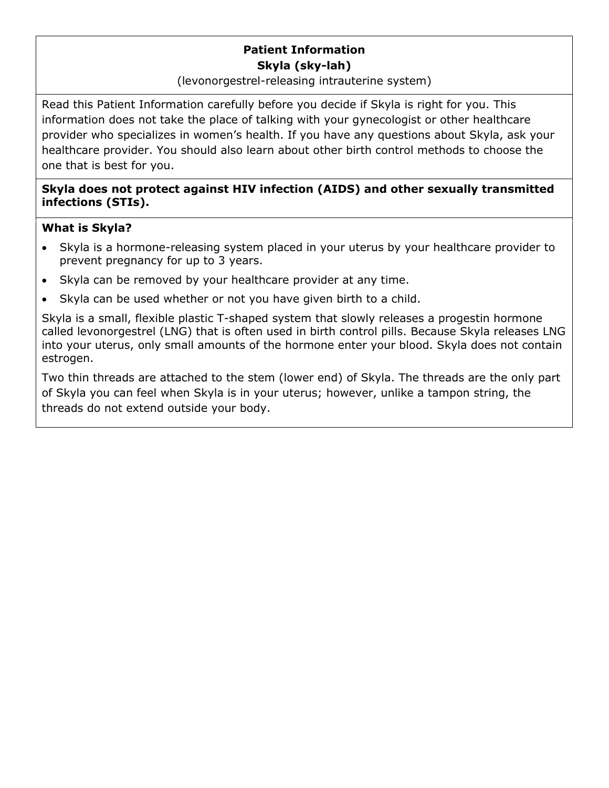# **Patient Information Skyla (sky-lah)**

## (levonorgestrel-releasing intrauterine system)

Read this Patient Information carefully before you decide if Skyla is right for you. This information does not take the place of talking with your gynecologist or other healthcare provider who specializes in women's health. If you have any questions about Skyla, ask your healthcare provider. You should also learn about other birth control methods to choose the one that is best for you.

## **Skyla does not protect against HIV infection (AIDS) and other sexually transmitted infections (STIs).**

## **What is Skyla?**

- Skyla is a hormone-releasing system placed in your uterus by your healthcare provider to prevent pregnancy for up to 3 years.
- Skyla can be removed by your healthcare provider at any time.
- Skyla can be used whether or not you have given birth to a child.

Skyla is a small, flexible plastic T-shaped system that slowly releases a progestin hormone called levonorgestrel (LNG) that is often used in birth control pills. Because Skyla releases LNG into your uterus, only small amounts of the hormone enter your blood. Skyla does not contain estrogen.

Two thin threads are attached to the stem (lower end) of Skyla. The threads are the only part of Skyla you can feel when Skyla is in your uterus; however, unlike a tampon string, the threads do not extend outside your body.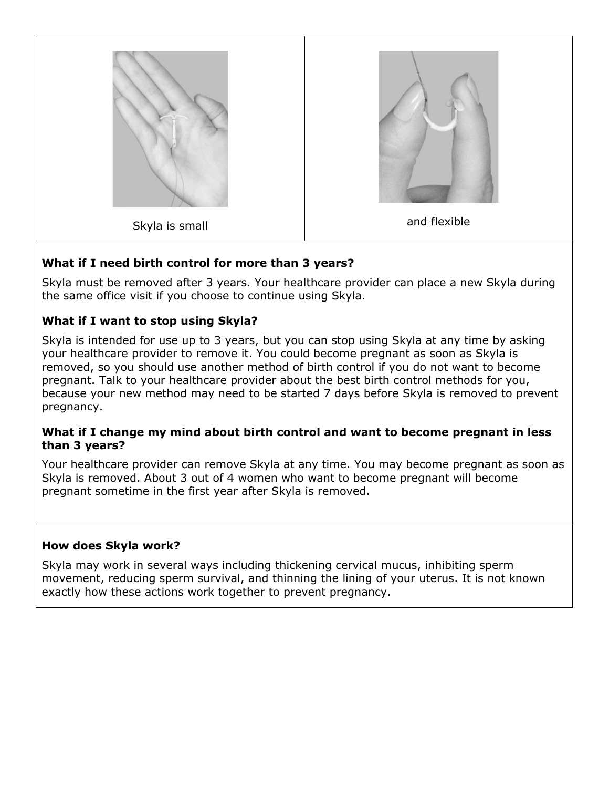

# **What if I need birth control for more than 3 years?**

Skyla must be removed after 3 years. Your healthcare provider can place a new Skyla during the same office visit if you choose to continue using Skyla.

# **What if I want to stop using Skyla?**

Skyla is intended for use up to 3 years, but you can stop using Skyla at any time by asking your healthcare provider to remove it. You could become pregnant as soon as Skyla is removed, so you should use another method of birth control if you do not want to become pregnant. Talk to your healthcare provider about the best birth control methods for you, because your new method may need to be started 7 days before Skyla is removed to prevent pregnancy.

## **What if I change my mind about birth control and want to become pregnant in less than 3 years?**

Your healthcare provider can remove Skyla at any time. You may become pregnant as soon as Skyla is removed. About 3 out of 4 women who want to become pregnant will become pregnant sometime in the first year after Skyla is removed.

# **How does Skyla work?**

Skyla may work in several ways including thickening cervical mucus, inhibiting sperm movement, reducing sperm survival, and thinning the lining of your uterus. It is not known exactly how these actions work together to prevent pregnancy.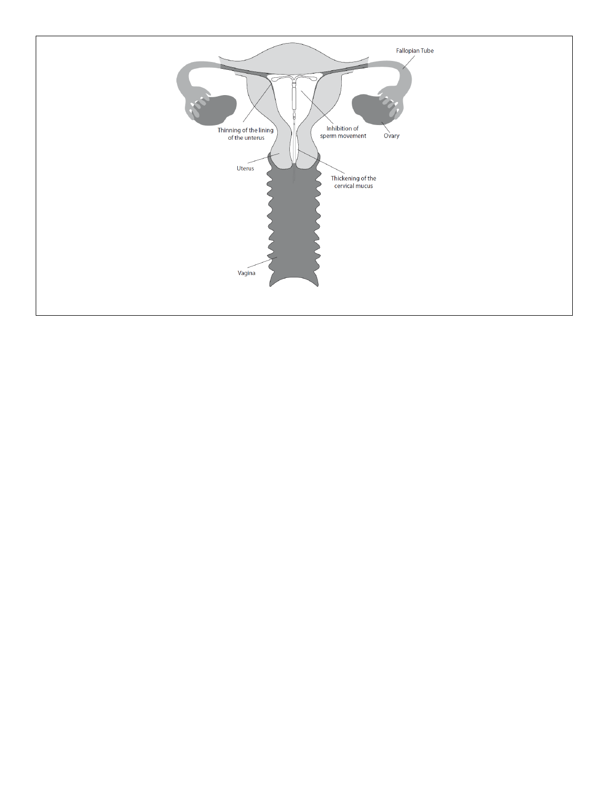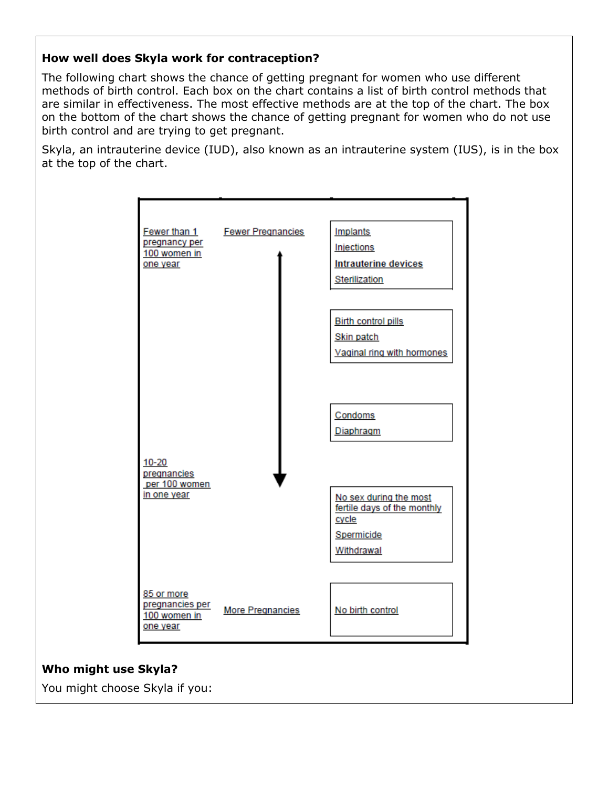## **How well does Skyla work for contraception?**

The following chart shows the chance of getting pregnant for women who use different methods of birth control. Each box on the chart contains a list of birth control methods that are similar in effectiveness. The most effective methods are at the top of the chart. The box on the bottom of the chart shows the chance of getting pregnant for women who do not use birth control and are trying to get pregnant.

Skyla, an intrauterine device (IUD), also known as an intrauterine system (IUS), is in the box at the top of the chart.



## **Who might use Skyla?**

You might choose Skyla if you: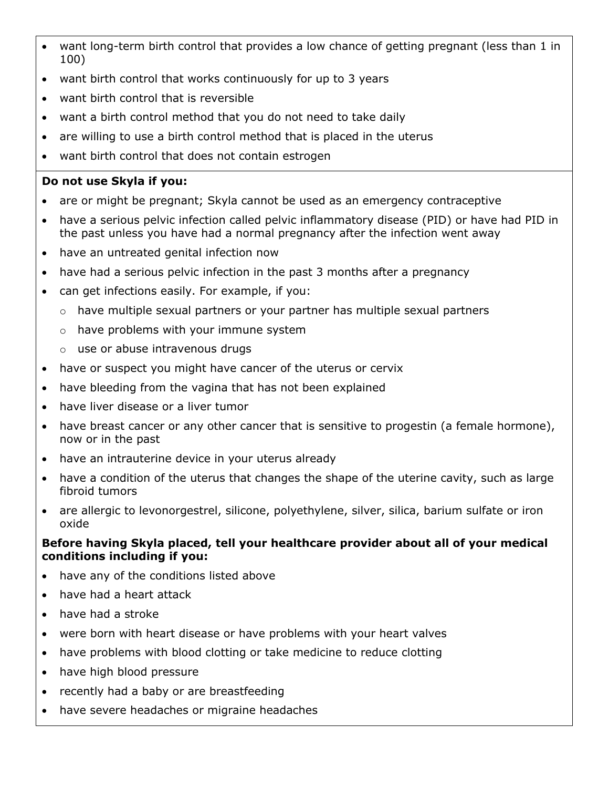- want long-term birth control that provides a low chance of getting pregnant (less than 1 in 100)
- want birth control that works continuously for up to 3 years
- want birth control that is reversible
- want a birth control method that you do not need to take daily
- are willing to use a birth control method that is placed in the uterus
- want birth control that does not contain estrogen

# **Do not use Skyla if you:**

- are or might be pregnant; Skyla cannot be used as an emergency contraceptive
- have a serious pelvic infection called pelvic inflammatory disease (PID) or have had PID in the past unless you have had a normal pregnancy after the infection went away
- have an untreated genital infection now
- have had a serious pelvic infection in the past 3 months after a pregnancy
- can get infections easily. For example, if you:
	- $\circ$  have multiple sexual partners or your partner has multiple sexual partners
	- o have problems with your immune system
	- o use or abuse intravenous drugs
- have or suspect you might have cancer of the uterus or cervix
- have bleeding from the vagina that has not been explained
- have liver disease or a liver tumor
- have breast cancer or any other cancer that is sensitive to progestin (a female hormone), now or in the past
- have an intrauterine device in your uterus already
- have a condition of the uterus that changes the shape of the uterine cavity, such as large fibroid tumors
- are allergic to levonorgestrel, silicone, polyethylene, silver, silica, barium sulfate or iron oxide

## **Before having Skyla placed, tell your healthcare provider about all of your medical conditions including if you:**

- have any of the conditions listed above
- have had a heart attack
- have had a stroke
- were born with heart disease or have problems with your heart valves
- have problems with blood clotting or take medicine to reduce clotting
- have high blood pressure
- recently had a baby or are breastfeeding
- have severe headaches or migraine headaches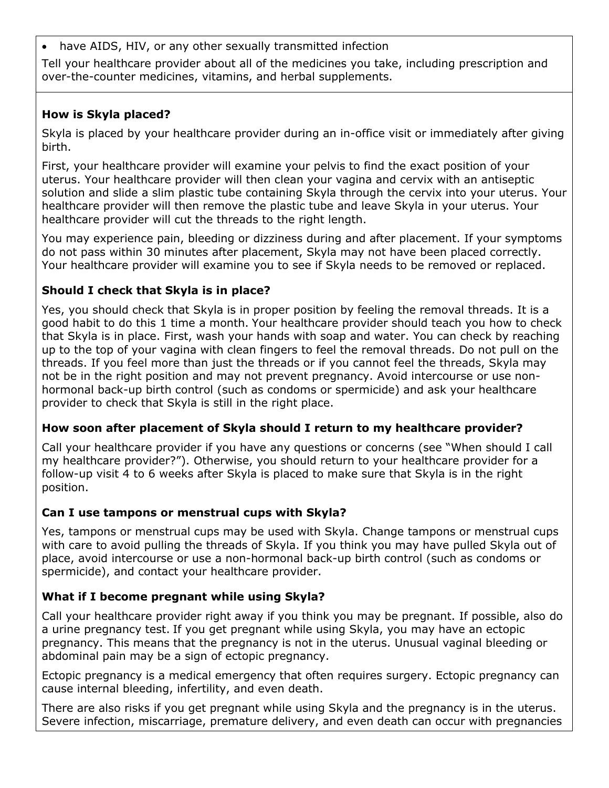• have AIDS, HIV, or any other sexually transmitted infection

Tell your healthcare provider about all of the medicines you take, including prescription and over-the-counter medicines, vitamins, and herbal supplements.

## **How is Skyla placed?**

Skyla is placed by your healthcare provider during an in-office visit or immediately after giving birth.

First, your healthcare provider will examine your pelvis to find the exact position of your uterus. Your healthcare provider will then clean your vagina and cervix with an antiseptic solution and slide a slim plastic tube containing Skyla through the cervix into your uterus. Your healthcare provider will then remove the plastic tube and leave Skyla in your uterus. Your healthcare provider will cut the threads to the right length.

You may experience pain, bleeding or dizziness during and after placement. If your symptoms do not pass within 30 minutes after placement, Skyla may not have been placed correctly. Your healthcare provider will examine you to see if Skyla needs to be removed or replaced.

# **Should I check that Skyla is in place?**

Yes, you should check that Skyla is in proper position by feeling the removal threads. It is a good habit to do this 1 time a month. Your healthcare provider should teach you how to check that Skyla is in place. First, wash your hands with soap and water. You can check by reaching up to the top of your vagina with clean fingers to feel the removal threads. Do not pull on the threads. If you feel more than just the threads or if you cannot feel the threads, Skyla may not be in the right position and may not prevent pregnancy. Avoid intercourse or use nonhormonal back-up birth control (such as condoms or spermicide) and ask your healthcare provider to check that Skyla is still in the right place.

## **How soon after placement of Skyla should I return to my healthcare provider?**

Call your healthcare provider if you have any questions or concerns (see "When should I call my healthcare provider?"). Otherwise, you should return to your healthcare provider for a follow-up visit 4 to 6 weeks after Skyla is placed to make sure that Skyla is in the right position.

## **Can I use tampons or menstrual cups with Skyla?**

Yes, tampons or menstrual cups may be used with Skyla. Change tampons or menstrual cups with care to avoid pulling the threads of Skyla. If you think you may have pulled Skyla out of place, avoid intercourse or use a non-hormonal back-up birth control (such as condoms or spermicide), and contact your healthcare provider.

# **What if I become pregnant while using Skyla?**

Call your healthcare provider right away if you think you may be pregnant. If possible, also do a urine pregnancy test. If you get pregnant while using Skyla, you may have an ectopic pregnancy. This means that the pregnancy is not in the uterus. Unusual vaginal bleeding or abdominal pain may be a sign of ectopic pregnancy.

Ectopic pregnancy is a medical emergency that often requires surgery. Ectopic pregnancy can cause internal bleeding, infertility, and even death.

There are also risks if you get pregnant while using Skyla and the pregnancy is in the uterus. Severe infection, miscarriage, premature delivery, and even death can occur with pregnancies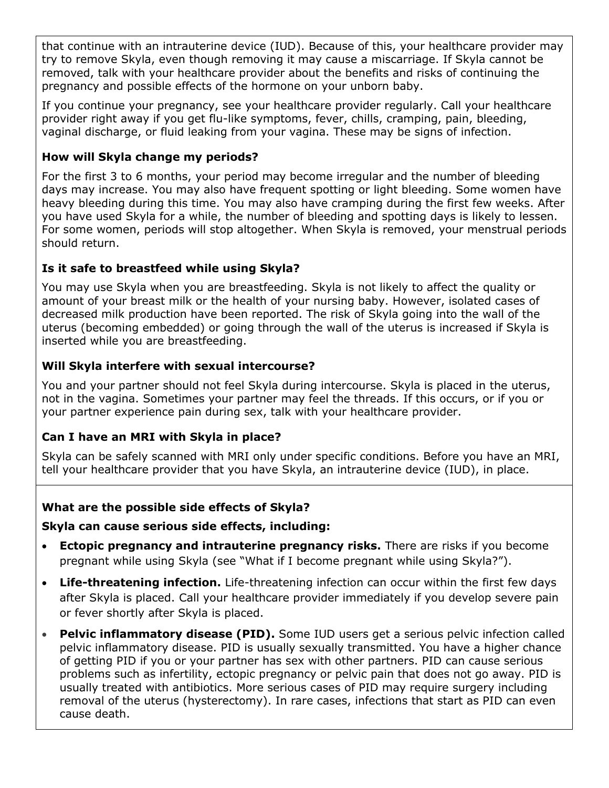that continue with an intrauterine device (IUD). Because of this, your healthcare provider may try to remove Skyla, even though removing it may cause a miscarriage. If Skyla cannot be removed, talk with your healthcare provider about the benefits and risks of continuing the pregnancy and possible effects of the hormone on your unborn baby.

If you continue your pregnancy, see your healthcare provider regularly. Call your healthcare provider right away if you get flu-like symptoms, fever, chills, cramping, pain, bleeding, vaginal discharge, or fluid leaking from your vagina. These may be signs of infection.

## **How will Skyla change my periods?**

For the first 3 to 6 months, your period may become irregular and the number of bleeding days may increase. You may also have frequent spotting or light bleeding. Some women have heavy bleeding during this time. You may also have cramping during the first few weeks. After you have used Skyla for a while, the number of bleeding and spotting days is likely to lessen. For some women, periods will stop altogether. When Skyla is removed, your menstrual periods should return.

## **Is it safe to breastfeed while using Skyla?**

You may use Skyla when you are breastfeeding. Skyla is not likely to affect the quality or amount of your breast milk or the health of your nursing baby. However, isolated cases of decreased milk production have been reported. The risk of Skyla going into the wall of the uterus (becoming embedded) or going through the wall of the uterus is increased if Skyla is inserted while you are breastfeeding.

## **Will Skyla interfere with sexual intercourse?**

You and your partner should not feel Skyla during intercourse. Skyla is placed in the uterus, not in the vagina. Sometimes your partner may feel the threads. If this occurs, or if you or your partner experience pain during sex, talk with your healthcare provider.

## **Can I have an MRI with Skyla in place?**

Skyla can be safely scanned with MRI only under specific conditions. Before you have an MRI, tell your healthcare provider that you have Skyla, an intrauterine device (IUD), in place.

## **What are the possible side effects of Skyla?**

## **Skyla can cause serious side effects, including:**

- **Ectopic pregnancy and intrauterine pregnancy risks.** There are risks if you become pregnant while using Skyla (see "What if I become pregnant while using Skyla?").
- **Life-threatening infection.** Life-threatening infection can occur within the first few days after Skyla is placed. Call your healthcare provider immediately if you develop severe pain or fever shortly after Skyla is placed.
- **Pelvic inflammatory disease (PID).** Some IUD users get a serious pelvic infection called pelvic inflammatory disease. PID is usually sexually transmitted. You have a higher chance of getting PID if you or your partner has sex with other partners. PID can cause serious problems such as infertility, ectopic pregnancy or pelvic pain that does not go away. PID is usually treated with antibiotics. More serious cases of PID may require surgery including removal of the uterus (hysterectomy). In rare cases, infections that start as PID can even cause death.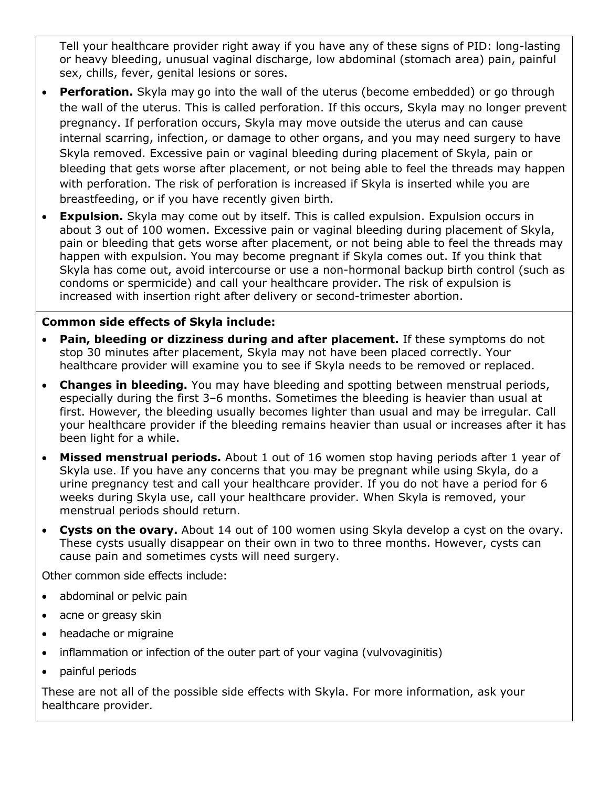Tell your healthcare provider right away if you have any of these signs of PID: long-lasting or heavy bleeding, unusual vaginal discharge, low abdominal (stomach area) pain, painful sex, chills, fever, genital lesions or sores.

- **Perforation.** Skyla may go into the wall of the uterus (become embedded) or go through the wall of the uterus. This is called perforation. If this occurs, Skyla may no longer prevent pregnancy. If perforation occurs, Skyla may move outside the uterus and can cause internal scarring, infection, or damage to other organs, and you may need surgery to have Skyla removed. Excessive pain or vaginal bleeding during placement of Skyla, pain or bleeding that gets worse after placement, or not being able to feel the threads may happen with perforation. The risk of perforation is increased if Skyla is inserted while you are breastfeeding, or if you have recently given birth.
- **Expulsion.** Skyla may come out by itself. This is called expulsion. Expulsion occurs in about 3 out of 100 women. Excessive pain or vaginal bleeding during placement of Skyla, pain or bleeding that gets worse after placement, or not being able to feel the threads may happen with expulsion. You may become pregnant if Skyla comes out. If you think that Skyla has come out, avoid intercourse or use a non-hormonal backup birth control (such as condoms or spermicide) and call your healthcare provider. The risk of expulsion is increased with insertion right after delivery or second-trimester abortion.

## **Common side effects of Skyla include:**

- **Pain, bleeding or dizziness during and after placement.** If these symptoms do not stop 30 minutes after placement, Skyla may not have been placed correctly. Your healthcare provider will examine you to see if Skyla needs to be removed or replaced.
- **Changes in bleeding.** You may have bleeding and spotting between menstrual periods, especially during the first 3–6 months. Sometimes the bleeding is heavier than usual at first. However, the bleeding usually becomes lighter than usual and may be irregular. Call your healthcare provider if the bleeding remains heavier than usual or increases after it has been light for a while.
- **Missed menstrual periods.** About 1 out of 16 women stop having periods after 1 year of Skyla use. If you have any concerns that you may be pregnant while using Skyla, do a urine pregnancy test and call your healthcare provider. If you do not have a period for 6 weeks during Skyla use, call your healthcare provider. When Skyla is removed, your menstrual periods should return.
- **Cysts on the ovary.** About 14 out of 100 women using Skyla develop a cyst on the ovary. These cysts usually disappear on their own in two to three months. However, cysts can cause pain and sometimes cysts will need surgery.

Other common side effects include:

- abdominal or pelvic pain
- acne or greasy skin
- headache or migraine
- inflammation or infection of the outer part of your vagina (vulvovaginitis)
- painful periods

These are not all of the possible side effects with Skyla. For more information, ask your healthcare provider.